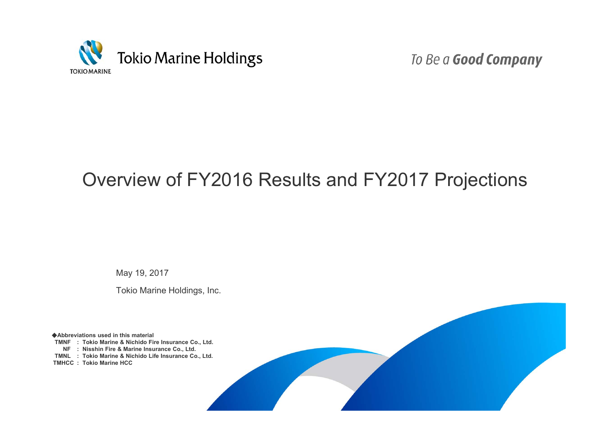

To Be a Good Company

# Overview of FY2016 Results and FY2017 Projections

May 19, 2017

Tokio Marine Holdings, Inc.

◆**Abbreviations used in this material TMNF : Tokio Marine & Nichido Fire Insurance Co., Ltd. NF : Nisshin Fire & Marine Insurance Co., Ltd. TMNL : Tokio Marine & Nichido Life Insurance Co., Ltd. TMHCC : Tokio Marine HCC**

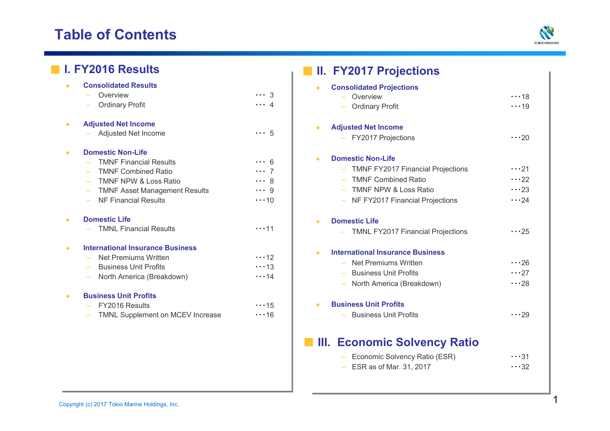# **Table of Contents**



| <b>I. FY2016 Results</b>                                                       |                                                                                                                              |                                                                     |           | <b>II. FY2017 Projections</b>                                                                                                                                                              |                                                          |
|--------------------------------------------------------------------------------|------------------------------------------------------------------------------------------------------------------------------|---------------------------------------------------------------------|-----------|--------------------------------------------------------------------------------------------------------------------------------------------------------------------------------------------|----------------------------------------------------------|
| <b>Consolidated Results</b><br>$\bullet$<br>Overview<br><b>Ordinary Profit</b> |                                                                                                                              | $\cdots$ 3<br>$\cdots$ 4                                            |           | <b>Consolidated Projections</b><br>Overview<br><b>Ordinary Profit</b>                                                                                                                      | $\cdots$ 18<br>$\cdots$ 19                               |
| <b>Adjusted Net Income</b><br>$\bullet$<br>Adjusted Net Income                 |                                                                                                                              | $\cdots 5$                                                          | $\bullet$ | <b>Adjusted Net Income</b><br>- FY2017 Projections                                                                                                                                         | $\cdots$ 20                                              |
| <b>Domestic Non-Life</b><br>$\bullet$<br><b>NF Financial Results</b>           | <b>TMNF Financial Results</b><br><b>TMNF Combined Ratio</b><br>TMNF NPW & Loss Ratio<br><b>TMNF Asset Management Results</b> | $\cdots$ 6<br>$\cdots$ 7<br>$\cdots$ 8<br>$\cdots$ 9<br>$\cdots$ 10 | $\bullet$ | <b>Domestic Non-Life</b><br><b>TMNF FY2017 Financial Projections</b><br><b>TMNF Combined Ratio</b><br>$\overline{\phantom{0}}$<br>TMNF NPW & Loss Ratio<br>NF FY2017 Financial Projections | $\cdots$ 21<br>$\cdots$ 22<br>$\cdots$ 23<br>$\cdots$ 24 |
| <b>Domestic Life</b><br>$\bullet$                                              | <b>TMNL Financial Results</b>                                                                                                | $\cdots$ 11                                                         | $\bullet$ | <b>Domestic Life</b><br><b>TMNL FY2017 Financial Projections</b>                                                                                                                           | $\cdots$ 25                                              |
| $\bullet$<br>Net Premiums Written<br><b>Business Unit Profits</b>              | <b>International Insurance Business</b><br>North America (Breakdown)                                                         | $\cdots$ 12<br>$\cdots$ 13<br>$\cdots$ 14                           |           | <b>International Insurance Business</b><br>Net Premiums Written<br><b>Business Unit Profits</b><br>North America (Breakdown)<br>÷                                                          | $\cdots$ 26<br>$\cdots$ 27<br>$\cdots$ 28                |
| <b>Business Unit Profits</b><br>$\bullet$<br>FY2016 Results                    | TMNL Supplement on MCEV Increase                                                                                             | $\cdots$ 15<br>$\cdots$ 16                                          | $\bullet$ | <b>Business Unit Profits</b><br><b>Business Unit Profits</b>                                                                                                                               | $\cdots$ 29                                              |
|                                                                                |                                                                                                                              |                                                                     |           | III. Economic Solvency Ratio<br>Economic Solvency Ratio (ESR)<br>$\overline{\phantom{m}}$<br>$-$ ESR as of Mar. 31, 2017                                                                   | $\cdots$ 31<br>$\cdots$ 32                               |

| I  |  |
|----|--|
| ۰, |  |
|    |  |
|    |  |
| ×  |  |
|    |  |
|    |  |
|    |  |
|    |  |
|    |  |
|    |  |
|    |  |
|    |  |
|    |  |
|    |  |
|    |  |
|    |  |
|    |  |
|    |  |
|    |  |
|    |  |
|    |  |
|    |  |
|    |  |
|    |  |
|    |  |
|    |  |
|    |  |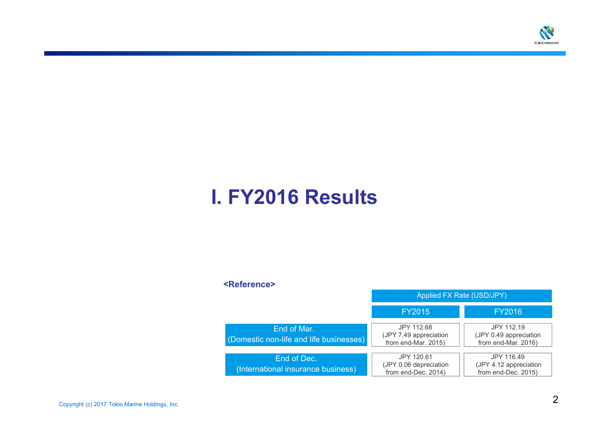

# **I. FY2016 Results**

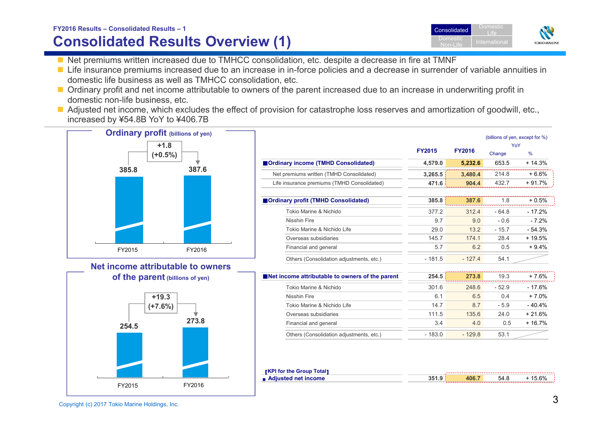#### **FY2016 Results – Consolidated Results – 1**

## **Consolidated Results Overview (1)**

- Net premiums written increased due to TMHCC consolidation, etc. despite a decrease in fire at TMNF
- Life insurance premiums increased due to an increase in in-force policies and a decrease in surrender of variable annuities in domestic life business as well as TMHCC consolidation, etc.
- Ordinary profit and net income attributable to owners of the parent increased due to an increase in underwriting profit in domestic non-life business, etc.
- Adjusted net income, which excludes the effect of provision for catastrophe loss reserves and amortization of goodwill, etc., increased by ¥54.8B YoY to ¥406.7B



Overseas subsidiaries



| <b>[KPI for the Group Total]</b> |       |       |      |          |
|----------------------------------|-------|-------|------|----------|
| ■ Adjusted net income            | 351.9 | 406.7 | 54.8 | $+15.6%$ |

Others (Consolidation adjustments, etc.) - 183.0 - 129.8 53.1

Financial and general the state of the state of the state of the state of the state of the state of the state of the state of the state of the state of the state of the state of the state of the state of the state of the s

...........



YoY

111.5 135.6 24.0 + 21.6%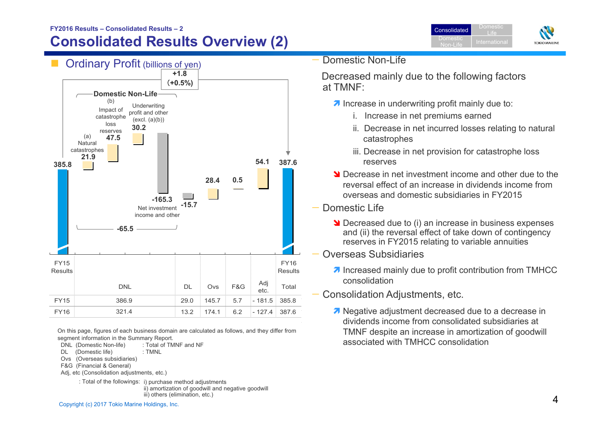#### **FY2016 Results – Consolidated Results – 2**

## **Consolidated Results Overview (2)**



On this page, figures of each business domain are calculated as follows, and they differ from segment information in the Summary Report.

- DNL (Domestic Non-life) : Total of TMNF and NF
- DL (Domestic life) : TMNL
- Ovs (Overseas subsidiaries)
- F&G (Financial & General)
- Adj, etc (Consolidation adjustments, etc.)
	- : Total of the followings: i) purchase method adjustments

ii) amortization of goodwill and negative goodwill iii) others (elimination, etc.)

Domestic **Consolidated** LifeDomestic International<br>Non-Life International **TOKIO MARINE** 

Domestic Non-Life

Decreased mainly due to the following factors at TMNF:

- **A** Increase in underwriting profit mainly due to:
	- i. Increase in net premiums earned
	- ii. Decrease in net incurred losses relating to natural catastrophes
	- iii. Decrease in net provision for catastrophe loss reserves
- **N** Decrease in net investment income and other due to the reversal effect of an increase in dividends income from overseas and domestic subsidiaries in FY2015
- Domestic Life
	- **Decreased due to (i) an increase in business expenses** and (ii) the reversal effect of take down of contingency reserves in FY2015 relating to variable annuities
- Overseas Subsidiaries
	- **7** Increased mainly due to profit contribution from TMHCC consolidation
- Consolidation Adjustments, etc.
	- Negative adjustment decreased due to a decrease in dividends income from consolidated subsidiaries at TMNF despite an increase in amortization of goodwill associated with TMHCC consolidation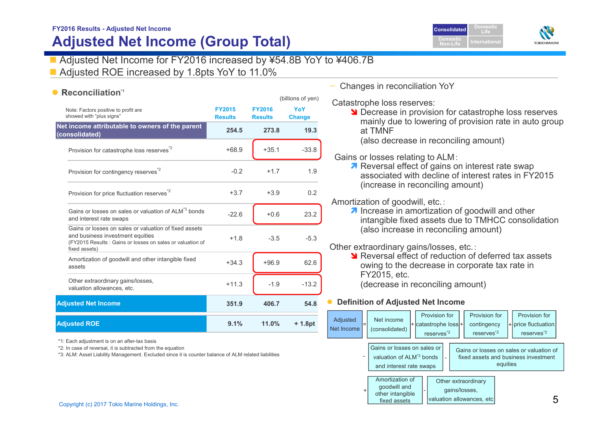## **FY2016 Results - Adjusted Net Income Adjusted Net Income (Group Total)**

## Adjusted Net Income for FY2016 increased by ¥54.8B YoY to ¥406.7B

■ Adjusted ROE increased by 1.8pts YoY to 11.0%

### **• Reconciliation**<sup>1</sup>

| YoY<br><b>FY2015</b><br><b>FY2016</b><br>Note: Factors positive to profit are<br>showed with "plus sians"<br><b>Results</b><br><b>Results</b><br>254.5<br>273.8<br>$+68.9$<br>$+35.1$<br>Provision for catastrophe loss reserves <sup>2</sup><br>Provision for contingency reserves <sup>*2</sup><br>$-0.2$<br>$+1.7$<br>Provision for price fluctuation reserves <sup>*2</sup><br>$+3.7$<br>$+3.9$<br>Gains or losses on sales or valuation of ALM <sup>*3</sup> bonds<br>$-22.6$<br>$+0.6$<br>and interest rate swaps<br>Gains or losses on sales or valuation of fixed assets<br>and business investment equities<br>$-3.5$<br>$+1.8$<br>(FY2015 Results: Gains or losses on sales or valuation of<br>fixed assets)<br>Amortization of goodwill and other intangible fixed<br>$+96.9$<br>$+34.3$<br>assets<br>Other extraordinary gains/losses,<br>$-1.9$<br>$+11.3$<br>valuation allowances, etc.<br>351.9<br>406.7 |                     |      |       | (billions of yen) |
|-------------------------------------------------------------------------------------------------------------------------------------------------------------------------------------------------------------------------------------------------------------------------------------------------------------------------------------------------------------------------------------------------------------------------------------------------------------------------------------------------------------------------------------------------------------------------------------------------------------------------------------------------------------------------------------------------------------------------------------------------------------------------------------------------------------------------------------------------------------------------------------------------------------------------|---------------------|------|-------|-------------------|
| Net income attributable to owners of the parent<br>(consolidated)<br><b>Adjusted Net Income</b>                                                                                                                                                                                                                                                                                                                                                                                                                                                                                                                                                                                                                                                                                                                                                                                                                         |                     |      |       | <b>Change</b>     |
|                                                                                                                                                                                                                                                                                                                                                                                                                                                                                                                                                                                                                                                                                                                                                                                                                                                                                                                         |                     |      |       | 19.3              |
|                                                                                                                                                                                                                                                                                                                                                                                                                                                                                                                                                                                                                                                                                                                                                                                                                                                                                                                         |                     |      |       | $-33.8$           |
|                                                                                                                                                                                                                                                                                                                                                                                                                                                                                                                                                                                                                                                                                                                                                                                                                                                                                                                         |                     |      |       | 1.9               |
|                                                                                                                                                                                                                                                                                                                                                                                                                                                                                                                                                                                                                                                                                                                                                                                                                                                                                                                         |                     |      |       | 0.2               |
|                                                                                                                                                                                                                                                                                                                                                                                                                                                                                                                                                                                                                                                                                                                                                                                                                                                                                                                         |                     |      |       | 23.2              |
|                                                                                                                                                                                                                                                                                                                                                                                                                                                                                                                                                                                                                                                                                                                                                                                                                                                                                                                         |                     |      |       | $-5.3$            |
|                                                                                                                                                                                                                                                                                                                                                                                                                                                                                                                                                                                                                                                                                                                                                                                                                                                                                                                         |                     |      |       | 62.6              |
|                                                                                                                                                                                                                                                                                                                                                                                                                                                                                                                                                                                                                                                                                                                                                                                                                                                                                                                         |                     |      |       | $-13.2$           |
|                                                                                                                                                                                                                                                                                                                                                                                                                                                                                                                                                                                                                                                                                                                                                                                                                                                                                                                         |                     |      |       | 54.8              |
|                                                                                                                                                                                                                                                                                                                                                                                                                                                                                                                                                                                                                                                                                                                                                                                                                                                                                                                         | <b>Adjusted ROE</b> | 9.1% | 11.0% | + 1.8pt           |

\*1: Each adjustment is on an after-tax basis

\*2: In case of reversal, it is subtracted from the equation

\*3: ALM: Asset Liability Management. Excluded since it is counter balance of ALM related liabilities

#### — Changes in reconciliation YoY

Catastrophe loss reserves:

**N** Decrease in provision for catastrophe loss reserves mainly due to lowering of provision rate in auto group at TMNF

**Non-Life**

(also decrease in reconciling amount)

#### Gains or losses relating to ALM:

7 Reversal effect of gains on interest rate swap associated with decline of interest rates in FY2015 (increase in reconciling amount)

Amortization of goodwill, etc.:

7 Increase Increase in amortization of goodwill and other intangible fixed assets due to TMHCC consolidation (also increase in reconciling amount)

Other extraordinary gains/losses, etc.:

Sum Reversal effect of reduction of deferred tax assets owing to the decrease in corporate tax rate in FY2015, etc. (decrease in reconciling amount)

#### $\bullet$ **Definition of Adjusted Net Income**



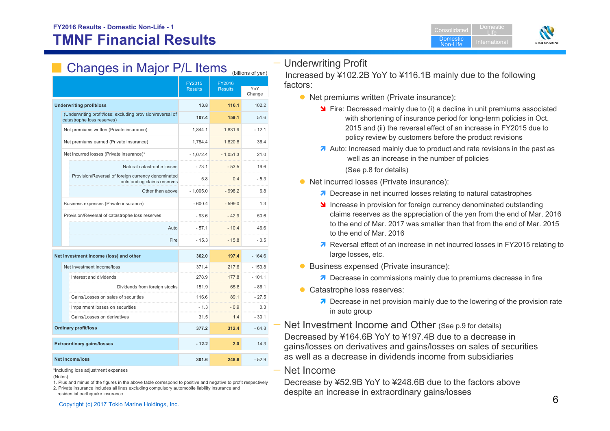

# **Changes in Major P/L Items** (billions of yen)

|                                                                                          | FY2015<br><b>Results</b> | FY2016<br><b>Results</b> | YoY      |
|------------------------------------------------------------------------------------------|--------------------------|--------------------------|----------|
|                                                                                          |                          |                          | Change   |
| <b>Underwriting profit/loss</b>                                                          | 13.8                     | 116.1                    | 102.2    |
| (Underwriting profit/loss: excluding provision/reversal of<br>catastrophe loss reserves) | 107.4                    | 159.1                    | 51.6     |
| Net premiums written (Private insurance)                                                 | 1.844.1                  | 1.831.9                  | $-12.1$  |
| Net premiums earned (Private insurance)                                                  | 1,784.4                  | 1.820.8                  | 36.4     |
| Net incurred losses (Private insurance)*                                                 | $-1,072.4$               | $-1,051.3$               | 21.0     |
| Natural catastrophe losses                                                               | $-73.1$                  | $-53.5$                  | 19.6     |
| Provision/Reversal of foreign currency denominated<br>outstanding claims reserves        | 5.8                      | 0.4                      | $-5.3$   |
| Other than above                                                                         | $-1.005.0$               | $-998.2$                 | 6.8      |
| Business expenses (Private insurance)                                                    | $-600.4$                 | $-599.0$                 | 1.3      |
| Provision/Reversal of catastrophe loss reserves                                          | $-93.6$                  | $-42.9$                  | 50.6     |
| Auto                                                                                     | $-57.1$                  | $-10.4$                  | 46.6     |
|                                                                                          | Fire<br>$-15.3$          | $-15.8$                  | $-0.5$   |
| Net investment income (loss) and other                                                   | 362.0                    | 197.4                    | $-164.6$ |
| Net investment income/loss                                                               | 371.4                    | 217.6                    | $-153.8$ |
| Interest and dividends                                                                   | 278.9                    | 177.8                    | $-101.1$ |
| Dividends from foreign stocks                                                            | 151.9                    | 65.8                     | $-86.1$  |
| Gains/Losses on sales of securities                                                      | 116.6                    | 89.1                     | $-27.5$  |
| Impairment losses on securities                                                          | $-1.3$                   | $-0.9$                   | 0.3      |
| Gains/Losses on derivatives                                                              | 31.5                     | 1.4                      | $-30.1$  |
| <b>Ordinary profit/loss</b>                                                              | 377.2                    | 312.4                    | $-64.8$  |
| <b>Extraordinary gains/losses</b>                                                        | $-12.2$                  | 2.0                      | 14.3     |
| <b>Net income/loss</b>                                                                   | 301.6                    | 248.6                    | $-52.9$  |

\*Including loss adjustment expenses

1. Plus and minus of the figures in the above table correspond to positive and negative to profit respectively 2. Private insurance includes all lines excluding compulsory automobile liability insurance and

residential earthquake insurance

## — Underwriting Profit

Increased by ¥102.2B YoY to ¥116.1B mainly due to the following factors:

- Net premiums written (Private insurance):
	- **S** Fire: Decreased mainly due to (i) a decline in unit premiums associated with shortening of insurance period for long-term policies in Oct. 2015 and (ii) the reversal effect of an increase in FY2015 due to policy review by customers before the product revisions
	- A Auto: Increased mainly due to product and rate revisions in the past as well as an increase in the number of policies

(See p.8 for details)

- Net incurred losses (Private insurance):
	- **7** Decrease in net incurred losses relating to natural catastrophes
	- **If** Increase in provision for foreign currency denominated outstanding claims reserves as the appreciation of the yen from the end of Mar. 2016 to the end of Mar. 2017 was smaller than that from the end of Mar. 2015 to the end of Mar. 2016
	- 7 The <i>Reversal effect of an increase in net incurred losses in FY2015 relating to</i> large losses, etc.
- **Business expensed (Private insurance):** 
	- **7** Decrease in commissions mainly due to premiums decrease in fire
- **Catastrophe loss reserves:** 
	- **7** Decrease in net provision mainly due to the lowering of the provision rate in auto group

— Net Investment Income and Other (See p.9 for details) Decreased by ¥164.6B YoY to ¥197.4B due to a decrease in gains/losses on derivatives and gains/losses on sales of securities as well as a decrease in dividends income from subsidiaries

### Net Income

Decrease by ¥52.9B YoY to ¥248.6B due to the factors above despite an increase in extraordinary gains/losses

<sup>(</sup>Notes)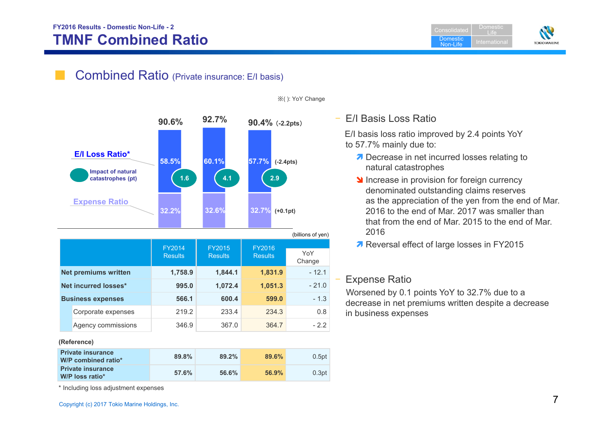## **FY2016 Results - Domestic Non-Life - 2 TMNF Combined Ratio**

**Consolidated Domestic** Non-LifeDomestic Life



## Combined Ratio (Private insurance: E/I basis)



|  |                             | FY2014         | FY2015         | <b>FY2016</b>  |               |
|--|-----------------------------|----------------|----------------|----------------|---------------|
|  |                             | <b>Results</b> | <b>Results</b> | <b>Results</b> | YoY<br>Change |
|  | <b>Net premiums written</b> | 1,758.9        | 1,844.1        | 1,831.9        | $-12.1$       |
|  | Net incurred losses*        | 995.0          | 1,072.4        | 1,051.3        | $-21.0$       |
|  | <b>Business expenses</b>    | 566.1          | 600.4          | 599.0          | - 1.3         |
|  | Corporate expenses          | 219.2          | 233.4          | 234.3          | 0.8           |
|  | Agency commissions          | 346.9          | 367.0          | 364.7          | $-2.2$        |
|  | (Reference)                 |                |                |                |               |

**89.8% 89.2% 89.6%** 0.5pt **57.6% 56.6% 56.9%** 0.3pt  **Private insurance W/P combined ratio\* Private insurance W/P loss ratio\***

※( ): YoY Change

## – E/I Basis Loss Ratio

E/I basis loss ratio improved by 2.4 points YoY to 57.7% mainly due to:

- ◯ Decrease in net incurred losses relating to natural catastrophes
- **Increase in provision for foreign currency** denominated outstanding claims reserves as the appreciation of the yen from the end of Mar. 2016 to the end of Mar. 2017 was smaller than that from the end of Mar. 2015 to the end of Mar. 2016
- 7 Reversal effect of large losses in FY2015

## Expense Ratio

Worsened by 0.1 points YoY to 32.7% due to a decrease in net premiums written despite a decrease in business expenses

\* Including loss adjustment expenses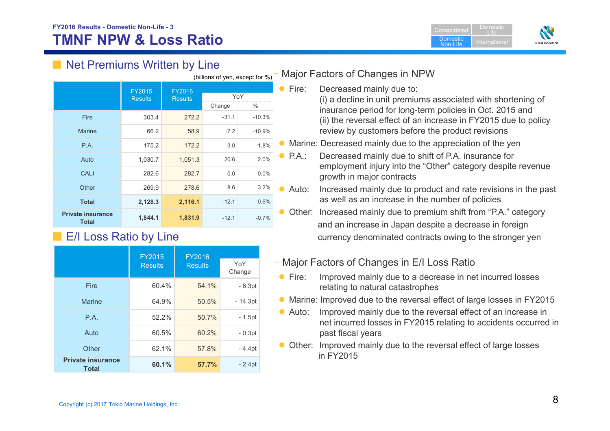**Consolidated Domestic** Non-LifeDomesticLife



## ■ Net Premiums Written by Line

| (billions of yen, except for %)          |                          |                          |         |          |  |
|------------------------------------------|--------------------------|--------------------------|---------|----------|--|
|                                          | FY2015<br><b>Results</b> | FY2016<br><b>Results</b> | YoY     |          |  |
|                                          |                          |                          | Change  | %        |  |
| Fire                                     | 303.4                    | 272.2                    | $-31.1$ | $-10.3%$ |  |
| <b>Marine</b>                            | 66.2                     | 58.9                     | $-7.2$  | $-10.9%$ |  |
| P.A.                                     | 175.2                    | 172.2                    | $-3.0$  | $-1.8%$  |  |
| Auto                                     | 1,030.7                  | 1,051.3                  | 20.6    | 2.0%     |  |
| CALI                                     | 282.6                    | 282.7                    | 0.0     | 0.0%     |  |
| Other                                    | 269.9                    | 278.6                    | 8.6     | 3.2%     |  |
| <b>Total</b>                             | 2,128.3                  | 2,116.1                  | $-12.1$ | $-0.6%$  |  |
| <b>Private insurance</b><br><b>Total</b> | 1,844.1                  | 1,831.9                  | $-12.1$ | $-0.7%$  |  |

## ■ E/I Loss Ratio by Line

|                                          | <b>FY2015</b>  | FY2016         |               |
|------------------------------------------|----------------|----------------|---------------|
|                                          | <b>Results</b> | <b>Results</b> | YoY<br>Change |
| Fire                                     | 60.4%          | 54.1%          | $-6.3pt$      |
| Marine                                   | 64.9%          | 50.5%          | $-14.3pt$     |
| P.A.                                     | 52.2%          | 50.7%          | $-1.5pt$      |
| Auto                                     | 60.5%          | 60.2%          | $-0.3pt$      |
| Other                                    | 62.1%          | 57.8%          | $-4.4pt$      |
| <b>Private insurance</b><br><b>Total</b> | 60.1%          | 57.7%          | $-2.4pt$      |

## – Major Factors of Changes in NPW

Fire: Decreased mainly due to:

(i) a decline in unit premiums associated with shortening of insurance period for long-term policies in Oct. 2015 and (ii) the reversal effect of an increase in FY2015 due to policy review by customers before the product revisions

- Marine: Decreased mainly due to the appreciation of the yen
- P.A.: Decreased mainly due to shift of P.A. insurance for employment injury into the "Other" category despite revenue growth in major contracts
- Auto: Increased mainly due to product and rate revisions in the past as well as an increase in the number of policies
- Other: Increased mainly due to premium shift from "P.A." category and an increase in Japan despite a decrease in foreign currency denominated contracts owing to the stronger yen
- Major Factors of Changes in E/I Loss Ratio
- $\bullet$  Fire: Improved mainly due to a decrease in net incurred losses relating to natural catastrophes
- Marine: Improved due to the reversal effect of large losses in FY2015
- Auto: Improved mainly due to the reversal effect of an increase in net incurred losses in FY2015 relating to accidents occurred in past fiscal years
- Other: Improved mainly due to the reversal effect of large losses in FY2015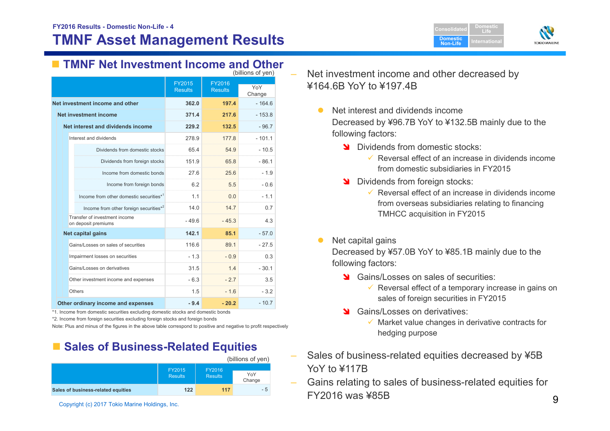

## **TMNF Net Investment Income and Other**

| (billions of yen)               |                                                      |                                 |                                 |               |
|---------------------------------|------------------------------------------------------|---------------------------------|---------------------------------|---------------|
|                                 |                                                      | <b>FY2015</b><br><b>Results</b> | <b>FY2016</b><br><b>Results</b> | YoY<br>Change |
| Net investment income and other |                                                      | 362.0                           | 197.4                           | $-164.6$      |
|                                 | <b>Net investment income</b>                         | 371.4                           | 217.6                           | $-153.8$      |
|                                 | Net interest and dividends income                    | 229.2                           | 132.5                           | $-96.7$       |
|                                 | Interest and dividends                               | 278.9                           | 1778                            | $-101.1$      |
|                                 | Dividends from domestic stocks                       | 65.4                            | 54.9                            | $-10.5$       |
|                                 | Dividends from foreign stocks                        | 151.9                           | 65.8                            | $-86.1$       |
|                                 | Income from domestic bonds                           | 27.6                            | 25.6                            | $-1.9$        |
|                                 | Income from foreign bonds                            | 6.2                             | 5.5                             | $-0.6$        |
|                                 | Income from other domestic securities* <sup>1</sup>  | 1.1                             | 0.0                             | $-1.1$        |
|                                 | Income from other foreign securities*2               | 14.0                            | 147                             | 0.7           |
|                                 | Transfer of investment income<br>on deposit premiums | $-49.6$                         | $-45.3$                         | 4.3           |
|                                 | <b>Net capital gains</b>                             | 142.1                           | 85.1                            | $-57.0$       |
|                                 | Gains/Losses on sales of securities                  | 116.6                           | 89.1                            | $-27.5$       |
|                                 | Impairment losses on securities                      | $-1.3$                          | $-0.9$                          | 0.3           |
|                                 | Gains/Losses on derivatives                          | 31.5                            | 1.4                             | $-30.1$       |
|                                 | Other investment income and expenses                 | $-6.3$                          | $-2.7$                          | 3.5           |
| Others                          |                                                      | 1.5                             | $-16$                           | $-3.2$        |
|                                 | Other ordinary income and expenses                   | $-9.4$                          | $-20.2$                         | $-10.7$       |

\*1. Income from domestic securities excluding domestic stocks and domestic bonds

\*2. Income from foreign securities excluding foreign stocks and foreign bonds

Note: Plus and minus of the figures in the above table correspond to positive and negative to profit respectively

## ■ Sales of Business-Related Equities



Copyright (c) 2017 Tokio Marine Holdings, Inc.

- Net investment income and other decreased by ¥164.6B YoY to ¥197.4B
	- $\bullet$  Net interest and dividends income Decreased by ¥96.7B YoY to ¥132.5B mainly due to the following factors:
		- Dividends from domestic stocks:
			- $\checkmark$  Reversal effect of an increase in dividends income from domestic subsidiaries in FY2015
		- **N** Dividends from foreign stocks:
			- $\checkmark$  Reversal effect of an increase in dividends income from overseas subsidiaries relating to financing TMHCC acquisition in FY2015
	- $\bullet$ Net capital gains

Decreased by ¥57.0B YoY to ¥85.1B mainly due to the following factors:

- State Gains/Losses on sales of securities:
	- $\checkmark$  Reversal effect of a temporary increase in gains on sales of foreign securities in FY2015
- Stains/Losses on derivatives:
	- $\checkmark$  Market value changes in derivative contracts for hedging purpose
- Sales of business-related equities decreased by ¥5B YoY to ¥117R
- Gains relating to sales of business-related equities for FY2016 was ¥85B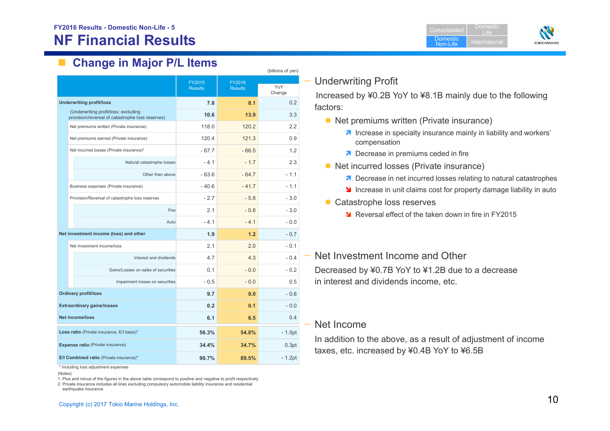## **NF Financial Results**





## **Change in Major P/L Items**

| (billions of yen)                                                                        |                          |                          |               |  |
|------------------------------------------------------------------------------------------|--------------------------|--------------------------|---------------|--|
|                                                                                          | FY2015<br><b>Results</b> | FY2016<br><b>Results</b> | YoY<br>Change |  |
| <b>Underwriting profit/loss</b>                                                          | 7.8                      | 8.1                      | 0.2           |  |
| (Underwriting profit/loss: excluding<br>provision/reversal of catastrophe loss reserves) | 10.6                     | 13.9                     | 3.3           |  |
| Net premiums written (Private insurance)                                                 | 118.0                    | 120.2                    | 2.2           |  |
| Net premiums earned (Private insurance)                                                  | 120.4                    | 121.3                    | 0.9           |  |
| Net incurred losses (Private insurance)*                                                 | $-67.7$                  | $-66.5$                  | 1.2           |  |
| Natural catastrophe losses                                                               | $-4.1$                   | $-1.7$                   | 2.3           |  |
| Other than above                                                                         | $-63.6$                  | $-64.7$                  | $-1.1$        |  |
| Business expenses (Private insurance)                                                    | $-40.6$                  | $-41.7$                  | $-1.1$        |  |
| Provision/Reversal of catastrophe loss reserves                                          | $-2.7$                   | $-5.8$                   | $-3.0$        |  |
| Fire                                                                                     | 21                       | $-0.8$                   | $-3.0$        |  |
| Auto                                                                                     | $-4.1$                   | $-4.1$                   | $-0.0$        |  |
| Net investment income (loss) and other                                                   | 1.9                      | 1.2                      | $-0.7$        |  |
| Net investment income/loss                                                               | 2.1                      | 2.0                      | $-0.1$        |  |
| Interest and dividends                                                                   | 4.7                      | 4.3                      | - 0.4<br>.    |  |
| Gains/Losses on sales of securities                                                      | 0.1                      | $-0.0$                   | - 0.2         |  |
| Impairment losses on securities                                                          | $-0.5$                   | $-0.0$                   | 0.5           |  |
| <b>Ordinary profit/loss</b>                                                              | 9.7                      | 9.0                      | $-0.6$        |  |
| <b>Extraordinary gains/losses</b>                                                        | 0.2                      | 0.1                      | $-0.0$        |  |
| <b>Net income/loss</b>                                                                   | 6.1                      | 6.5                      | 0.4           |  |
| Loss ratio (Private insurance, E/I basis)*                                               | 56.3%                    | 54.8%                    | $-1.5pt$      |  |
| <b>Expense ratio</b> (Private insurance)                                                 | 34.4%                    | 34.7%                    | 0.3pt         |  |
| E/I Combined ratio (Private insurance)*                                                  | 90.7%                    | 89.5%                    | $-1.2pt$      |  |

\* Including loss adjustment expenses

1. Plus and minus of the figures in the above table correspond to positive and negative to profit respectively

2. Private insurance includes all lines excluding compulsory automobile liability insurance and residential earthquake insurance

## — Underwriting Profit

Increased by ¥0.2B YoY to ¥8.1B mainly due to the following factors:

- Net premiums written (Private insurance)
	- **7** Increase in specialty insurance mainly in liability and workers' compensation
	- **7** Decrease in premiums ceded in fire
- Net incurred losses (Private insurance)
	- **7** Decrease in net incurred losses relating to natural catastrophes
	- **If** Increase in unit claims cost for property damage liability in auto
- Catastrophe loss reserves
	- **N** Reversal effect of the taken down in fire in FY2015

#### — Net Investment Income and Other

Decreased by ¥0.7B YoY to ¥1.2B due to a decrease in interest and dividends income, etc.

#### — Net Income

In addition to the above, as a result of adjustment of income taxes, etc. increased by ¥0.4B YoY to ¥6.5B

<sup>(</sup>Notes)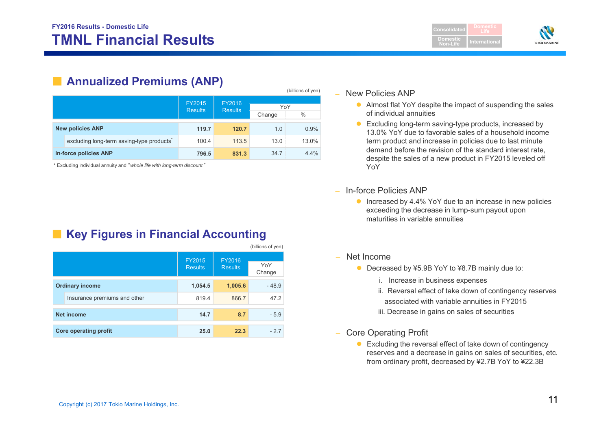

## ■ **Annualized Premiums (ANP)**

|  |                                          |                |                |        | (billions of yen) |
|--|------------------------------------------|----------------|----------------|--------|-------------------|
|  |                                          | <b>FY2015</b>  | FY2016         |        |                   |
|  |                                          | <b>Results</b> | <b>Results</b> | YoY    |                   |
|  |                                          |                |                | Change | $\%$              |
|  |                                          |                |                |        |                   |
|  | <b>New policies ANP</b>                  | 119.7          | 120.7          | 1.0    | 0.9%              |
|  | excluding long-term saving-type products | 100.4          | 113.5          | 13.0   | 13.0%             |
|  | In-force policies ANP                    | 796.5          | 831.3          | 34.7   | $4.4\%$           |

\* Excluding individual annuity and "*whole life with long-term discount* "

## ■ Key Figures in Financial Accounting

|                   |                              |                                 |                          | (billions of yen) |
|-------------------|------------------------------|---------------------------------|--------------------------|-------------------|
|                   |                              | <b>FY2015</b><br><b>Results</b> | FY2016<br><b>Results</b> | YoY<br>Change     |
|                   | <b>Ordinary income</b>       | 1,054.5                         | 1,005.6                  | $-48.9$           |
|                   | Insurance premiums and other | 819.4                           | 866.7                    | 47.2              |
| <b>Net income</b> |                              | 14.7                            | 8.7                      | $-5.9$            |
|                   | <b>Core operating profit</b> | 25.0                            | 22.3                     | $-2.7$            |

#### – New Policies ANP

- Almost flat YoY despite the impact of suspending the sales of individual annuities
- Excluding long-term saving-type products, increased by 13.0% YoY due to favorable sales of a household income term product and increase in policies due to last minute demand before the revision of the standard interest rate, despite the sales of a new product in FY2015 leveled off YoY
- In-force Policies ANP
	- **Increased by 4.4% YoY due to an increase in new policies** exceeding the decrease in lump-sum payout upon maturities in variable annuities
- Net Income
	- Decreased by ¥5.9B YoY to ¥8.7B mainly due to:
		- i. Increase in business expenses
		- ii. Reversal effect of take down of contingency reserves associated with variable annuities in FY2015
		- iii. Decrease in gains on sales of securities
- Core Operating Profit
	- Excluding the reversal effect of take down of contingency reserves and a decrease in gains on sales of securities, etc. from ordinary profit, decreased by ¥2.7B YoY to ¥22.3B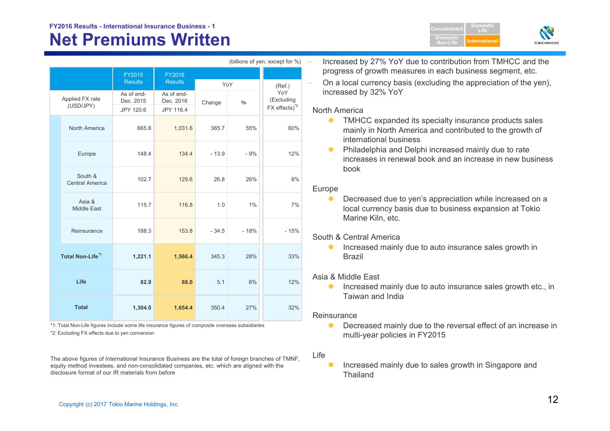# **FY2016 Results - International Insurance Business - 1 Consolidated**

# **Net Premiums Written**

|                 |                                   |                              |                              |         |        | $\sum$                           |  |
|-----------------|-----------------------------------|------------------------------|------------------------------|---------|--------|----------------------------------|--|
|                 |                                   | <b>FY2015</b>                | FY2016                       |         |        |                                  |  |
|                 |                                   | <b>Results</b><br>As of end- | <b>Results</b><br>As of end- | YoY     |        | (Ref.)<br>YoY                    |  |
| Applied FX rate |                                   | Dec. 2015                    | Dec. 2016                    | Change  | $\%$   | (Excluding<br>$FX$ effects) $^2$ |  |
|                 | (USD/JPY)                         | JPY 120.6                    | JPY 116.4                    |         |        |                                  |  |
|                 | North America                     | 665.8                        | 1,031.6                      | 365.7   | 55%    | 60%                              |  |
|                 | Europe                            | 148.4                        | 134.4                        | $-13.9$ | $-9%$  | 12%                              |  |
|                 | South &<br><b>Central America</b> | 102.7                        | 129.6                        | 26.8    | 26%    | 8%                               |  |
|                 | Asia &<br><b>Middle East</b>      | 115.7                        | 116.8                        | 1.0     | 1%     | 7%                               |  |
|                 | Reinsurance                       | 188.3                        | 153.8                        | $-34.5$ | $-18%$ | $-15%$                           |  |
|                 | Total Non-Life <sup>*1</sup>      | 1,221.1                      | 1,566.4                      | 345.3   | 28%    | 33%                              |  |
|                 | Life                              | 82.9                         | 88.0                         | 5.1     | 6%     | 12%                              |  |
|                 | <b>Total</b>                      | 1,304.0                      | 1,654.4                      | 350.4   | 27%    | 32%                              |  |

\*2: Excluding FX effects due to yen conversion \*1: Total Non-Life figures include some life insurance figures of composite overseas subsidiaries

The above figures of International Insurance Business are the total of foreign branches of TMNF, equity method investees, and non-consolidated companies, etc. which are aligned with the disclosure format of our IR materials from before

 $(billione of van event for  $0/2$ )$ 

 Increased by 27% YoY due to contribution from TMHCC and the progress of growth measures in each business segment, etc.

**DomesticNon-Life**

**DomesticLifeInternational**

**TOKIO MARINE** 

 On a local currency basis (excluding the appreciation of the yen), increased by 32% YoY

#### North America

- $\bullet$  TMHCC expanded its specialty insurance products sales mainly in North America and contributed to the growth of international business
- $\bullet$  Philadelphia and Delphi increased mainly due to rate increases in renewal book and an increase in new business book

#### Europe

 $\bullet$  Decreased due to yen's appreciation while increased on a local currency basis due to business expansion at Tokio Marine Kiln, etc.

#### South & Central America

 $\bullet$  Increased mainly due to auto insurance sales growth in Brazil

#### Asia & Middle East

 $\bullet$  Increased mainly due to auto insurance sales growth etc., in Taiwan and India

#### Reinsurance

 $\bullet$  Decreased mainly due to the reversal effect of an increase in multi-year policies in FY2015

#### Life

 $\bullet$  Increased mainly due to sales growth in Singapore and Thailand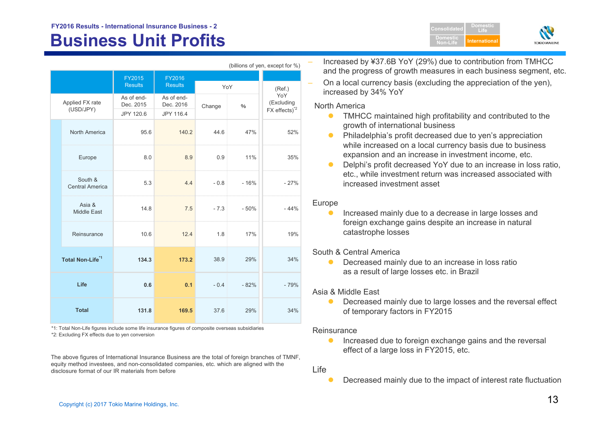# **Business Unit Profits Alternational Department of the International Alternational Department International**

|  |                                   |                          |                          |        |                | (billions of yen, except for %)                              |
|--|-----------------------------------|--------------------------|--------------------------|--------|----------------|--------------------------------------------------------------|
|  |                                   | FY2015<br><b>Results</b> | FY2016<br><b>Results</b> | YoY    |                | (Ref.)                                                       |
|  | Applied FX rate<br>(USD/JPY)      | As of end-<br>Dec. 2015  | As of end-<br>Dec. 2016  | Change | $\%$           | YoY<br>(Excluding<br>$FX$ effects) <sup><math>2</math></sup> |
|  | <b>North America</b>              | JPY 120.6<br>95.6        | JPY 116.4<br>140.2       | 44.6   | 47%            | 52%                                                          |
|  | Europe                            | 8.0                      | 8.9                      | 0.9    | 11%            | 35%                                                          |
|  | South &<br><b>Central America</b> | 5.3                      | 4.4                      |        | $-0.8$ $-16\%$ | $-27%$                                                       |
|  | Asia &<br><b>Middle East</b>      | 14.8                     | 7.5                      | $-7.3$ | $-50%$         | $-44%$                                                       |
|  | Reinsurance                       | 10.6                     | 12.4                     | 1.8    | 17%            | 19%                                                          |
|  | Total Non-Life <sup>*1</sup>      | 134.3                    | 173.2                    | 38.9   | 29%            | 34%                                                          |
|  | Life                              | 0.6                      | 0.1                      | $-0.4$ | $-82%$         | $-79%$                                                       |
|  | <b>Total</b>                      | 131.8                    | 169.5                    | 37.6   | 29%            | 34%                                                          |

\*2: Excluding FX effects due to yen conversion \*1: Total Non-Life figures include some life insurance figures of composite overseas subsidiaries

The above figures of International Insurance Business are the total of foreign branches of TMNF, equity method investees, and non-consolidated companies, etc. which are aligned with the disclosure format of our IR materials from before

 Increased by ¥37.6B YoY (29%) due to contribution from TMHCC and the progress of growth measures in each business segment, etc.

**ConsolidatedDomestic Non-Life**

**DomesticLife**

**TOKIOMARIN** 

 On a local currency basis (excluding the appreciation of the yen), increased by 34% YoY

#### North America

- $\bullet$  TMHCC maintained high profitability and contributed to the growth of international business
- $\bullet$  Philadelphia's profit decreased due to yen's appreciation while increased on a local currency basis due to business expansion and an increase in investment income, etc.
- $\bullet$  Delphi's profit decreased YoY due to an increase in loss ratio, etc., while investment return was increased associated with increased investment asset

#### Europe

 $\bullet$  Increased mainly due to a decrease in large losses and foreign exchange gains despite an increase in natural catastrophe losses

#### South & Central America

 $\bullet$  Decreased mainly due to an increase in loss ratio as a result of large losses etc. in Brazil

#### Asia & Middle East

 $\bullet$  Decreased mainly due to large losses and the reversal effect of temporary factors in FY2015

#### **Reinsurance**

 $\bullet$  Increased due to foreign exchange gains and the reversal effect of a large loss in FY2015, etc.

#### Life

 $\bullet$ Decreased mainly due to the impact of interest rate fluctuation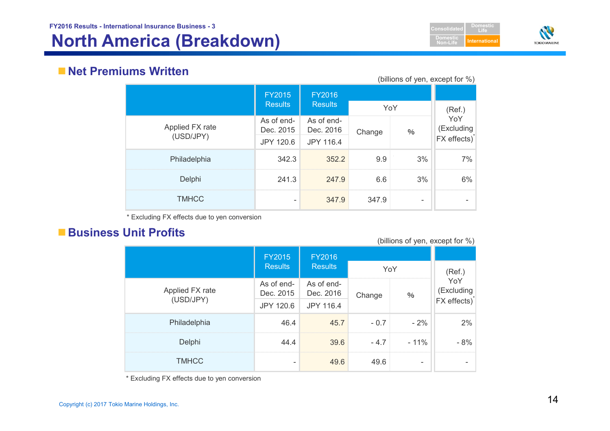



## **Net Premiums Written**

|                 |                         |                         |        |      | (billions of yen, except for %)   |
|-----------------|-------------------------|-------------------------|--------|------|-----------------------------------|
|                 | <b>FY2015</b>           | <b>FY2016</b>           |        |      |                                   |
|                 | <b>Results</b>          | <b>Results</b>          | YoY    |      | (Ref.)                            |
| Applied FX rate | As of end-<br>Dec. 2015 | As of end-<br>Dec. 2016 | Change | $\%$ | YoY<br>(Excluding<br>FX effects)* |
| (USD/JPY)       | JPY 120.6               | JPY 116.4               |        |      |                                   |
| Philadelphia    | 342.3                   | 352.2                   | 9.9    | 3%   | 7%                                |
| Delphi          | 241.3                   | 247.9                   | 6.6    | 3%   | 6%                                |
| <b>TMHCC</b>    |                         | 347.9                   | 347.9  |      |                                   |

\* Excluding FX effects due to yen conversion

## **Business Unit Profits**

(billions of yen, except for %)

|                 | <b>FY2015</b>           | FY2016                  |        |        |                          |
|-----------------|-------------------------|-------------------------|--------|--------|--------------------------|
|                 | <b>Results</b>          | <b>Results</b>          | YoY    |        | (Ref.)                   |
| Applied FX rate | As of end-<br>Dec. 2015 | As of end-<br>Dec. 2016 | Change | $\%$   | YoY<br>(Excluding        |
| (USD/JPY)       | JPY 120.6               | JPY 116.4               |        |        | FX effects) <sup>*</sup> |
| Philadelphia    | 46.4                    | 45.7                    | $-0.7$ | $-2%$  | 2%                       |
| Delphi          | 44.4                    | 39.6                    | $-4.7$ | $-11%$ | - 8%                     |
| <b>TMHCC</b>    | -                       | 49.6                    | 49.6   |        |                          |

\* Excluding FX effects due to yen conversion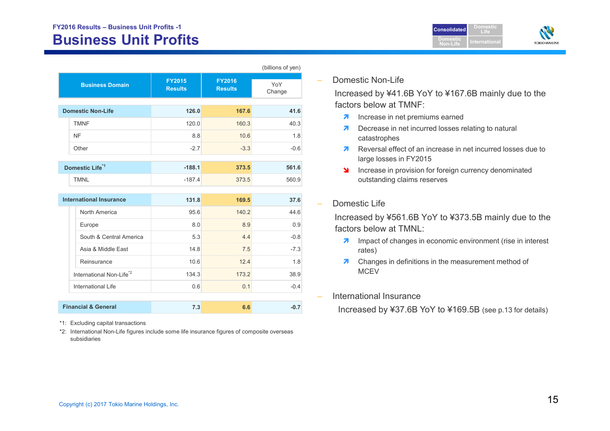## **FY2016 Results – Business Unit Profits -1 Business Unit Profits**



|                            |                                 |                                 | (billions of yen) |
|----------------------------|---------------------------------|---------------------------------|-------------------|
| <b>Business Domain</b>     | <b>FY2015</b><br><b>Results</b> | <b>FY2016</b><br><b>Results</b> | YoY<br>Change     |
| <b>Domestic Non-Life</b>   | 126.0                           | 167.6                           | 41.6              |
| <b>TMNF</b>                | 120.0                           | 160.3                           | 40.3              |
| <b>NF</b>                  | 8.8                             | 10.6                            | 1.8               |
| Other                      | $-2.7$                          | $-3.3$                          | $-0.6$            |
| Domestic Life <sup>1</sup> | $-188.1$                        | 373.5                           | 561.6             |
| <b>TMNL</b>                | $-187.4$                        | 373.5                           | 560.9             |

| <b>International Insurance</b>                                                             | 131.8 | IG9 5 |      |
|--------------------------------------------------------------------------------------------|-------|-------|------|
| North America                                                                              | 95.6  | 1402  |      |
| Europe<br>,我们的人们就会在这里,我们的人们就会在这里,我们的人们就会在这里,我们的人们就会在这里,我们的人们就会在这里,我们的人们就会在这里,我们的人们就会在这里,我们 | 80    | 89    | 9 (  |
| South & Central America                                                                    | 5.3   |       | -በ ጸ |
| Asia & Middle East                                                                         | 14.8  | 7.5   | -7.3 |
| Reinsurance                                                                                | 10.6  | 124   | -8   |
| International Non-Life <sup>72</sup>                                                       | 134.3 | 173.2 |      |
| International Life                                                                         | 0.6   |       |      |
|                                                                                            |       |       |      |

\*1: Excluding capital transactions

 **Financial & General** 

\*2: International Non-Life figures include some life insurance figures of composite overseas subsidiaries

**7.3 6.6 -0.7**

Domestic Non-Life

Increased by ¥41.6B YoY to ¥167.6B mainly due to the factors below at TMNF:

- $\overline{\mathbf{z}}$ Increase in net premiums earned
- $\overline{\phantom{a}}$  Decrease in net incurred losses relating to natural catastrophes
- Reversal effect of an increase in net incurred losses due to large losses in FY2015
- **Increase in provision for foreign currency denominated** outstanding claims reserves

#### Domestic Life

Increased by ¥561.6B YoY to ¥373.5B mainly due to the factors below at TMNL:

- **7** Impact of changes in economic environment (rise in interest rates)
- $\overline{\phantom{a}}$  Changes in definitions in the measurement method of MCEV
- International Insurance

Increased by ¥37.6B YoY to ¥169.5B (see p.13 for details)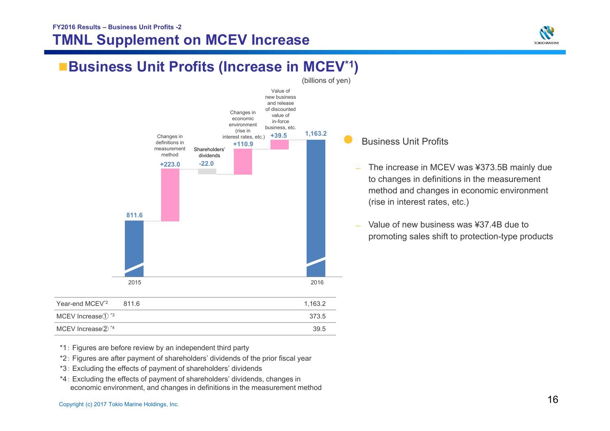## **FY2016 Results – Business Unit Profits -2 TMNL Supplement on MCEV Increase**



# **Business Unit Profits (Increase in MCEV<sup>\*1</sup>)**



| Year-end MCEV <sup>*2</sup> | 811 6 | 1.163.2 |
|-----------------------------|-------|---------|
| MCEV Increase $(1)$ *3      |       | 373.5   |
| MCEV Increase2 *4           |       | 39.5    |

Business Unit Profits

 $\bullet$ 

- The increase in MCEV was ¥373.5B mainly due to changes in definitions in the measurement method and changes in economic environment (rise in interest rates, etc.)
- Value of new business was ¥37.4B due to promoting sales shift to protection-type products

- \*1: Figures are before review by an independent third party
- \*2: Figures are after payment of shareholders' dividends of the prior fiscal year
- \*3: Excluding the effects of payment of shareholders' dividends
- \*4: Excluding the effects of payment of shareholders' dividends, changes in economic environment, and changes in definitions in the measurement method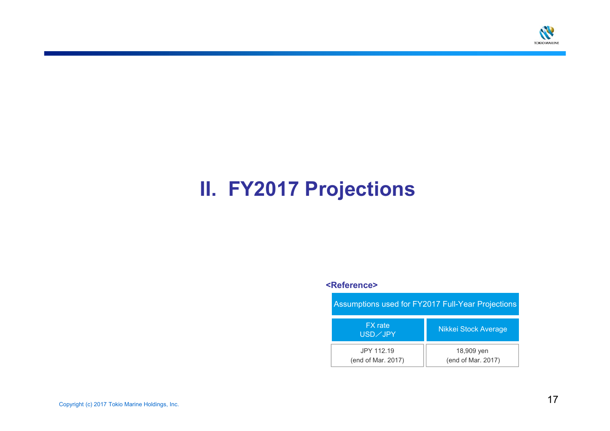

# **II. FY2017 Projections**

#### **<Reference>**

| <b>Assumptions used for FY2017 Full-Year Projections</b> |                                  |  |  |  |
|----------------------------------------------------------|----------------------------------|--|--|--|
| <b>FX</b> rate<br>USD/JPY                                | <b>Nikkei Stock Average</b>      |  |  |  |
| JPY 112.19<br>(end of Mar. 2017)                         | 18,909 yen<br>(end of Mar. 2017) |  |  |  |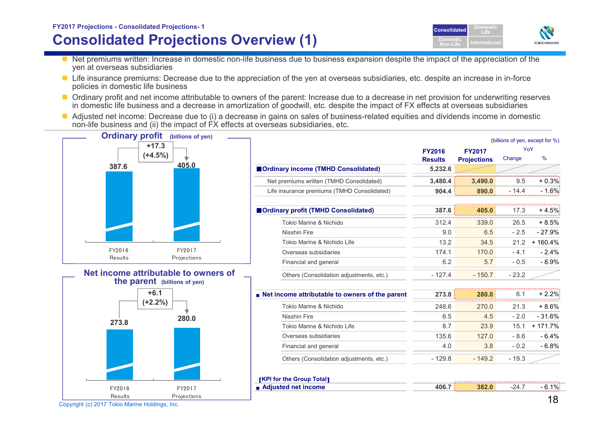## **FY2017 Projections - Consolidated Projections- 1 Consolidated Projections Overview (1)**



- Net premiums written: Increase in domestic non-life business due to business expansion despite the impact of the appreciation of the yen at overseas subsidiaries
- Life insurance premiums: Decrease due to the appreciation of the yen at overseas subsidiaries, etc. despite an increase in in-force policies in domestic life business
- Ordinary profit and net income attributable to owners of the parent: Increase due to a decrease in net provision for underwriting reserves in domestic life business and a decrease in amortization of goodwill, etc. despite the impact of FX effects at overseas subsidiaries
- Adjusted net income: Decrease due to (i) a decrease in gains on sales of business-related equities and dividends income in domestic non-life business and (ii) the impact of FX effects at overseas subsidiaries, etc.

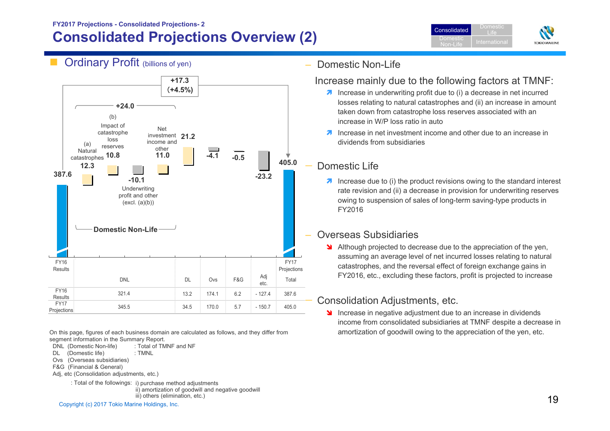## **FY2017 Projections - Consolidated Projections- 2 Consolidated Projections Overview (2)**





FY17 Projections

Adj<br>etc. Total

## Increase mainly due to the following factors at TMNF:

- $\lambda$  Increase in underwriting profit due to (i) a decrease in net incurred losses relating to natural catastrophes and (ii) an increase in amount taken down from catastrophe loss reserves associated with an increase in W/P loss ratio in auto
- **I** Increase in net investment income and other due to an increase in dividends from subsidiaries

## Domestic Life

Domestic Non-Life

 $\lambda$  Increase due to (i) the product revisions owing to the standard interest rate revision and (ii) a decrease in provision for underwriting reserves owing to suspension of sales of long-term saving-type products in FY2016

## Overseas Subsidiaries

**Although projected to decrease due to the appreciation of the yen,** assuming an average level of net incurred losses relating to natural catastrophes, and the reversal effect of foreign exchange gains in FY2016, etc., excluding these factors, profit is projected to increase

## Consolidation Adjustments, etc.

Increase in negative adjustment due to an increase in dividends income from consolidated subsidiaries at TMNF despite a decrease in amortization of goodwill owing to the appreciation of the yen, etc.

On this page, figures of each business domain are calculated as follows, and they differ from segment information in the Summary Report.

1.1.1.<br>Projections 345.5 345.5 34.5 170.0 5.7 - 150.7 405.0

and a bit but the but of the but of the but of the but of the but of the but of the but of the but of the but <br>Total department of the but of the but of the but of the but of the but of the but of the but of the but of th

 $\begin{array}{|c|c|c|c|c|c|}\n \hline\n \text{s}\end{array} \hspace{1.2cm} \begin{array}{|c|c|c|c|c|c|}\n \hline\n \text{321.4} & \text{13.2} & \text{174.1} & \text{6.2} & \text{-127.4} & \text{387.6}\n \hline\n \end{array}$ 

DL Ovs F&G Adj<br>etc.

DNL (Domestic Non-life) : Total of TMNF and NF

321.4345.5

DNL

- DL (Domestic life) : TMNL
- Ovs (Overseas subsidiaries)
- F&G (Financial & General)

FY16 Results

FY<sub>16</sub>

Results

FY17

- Adi, etc (Consolidation adjustments, etc.)
	- III) others (elimination, etc.)<br>Copyright (c) 2017 Tokio Marine Holdings, Inc. 1996 : Total of the followings: i) purchase method adjustments ii) amortization of goodwill and negative goodwill iii) others (elimination, etc.)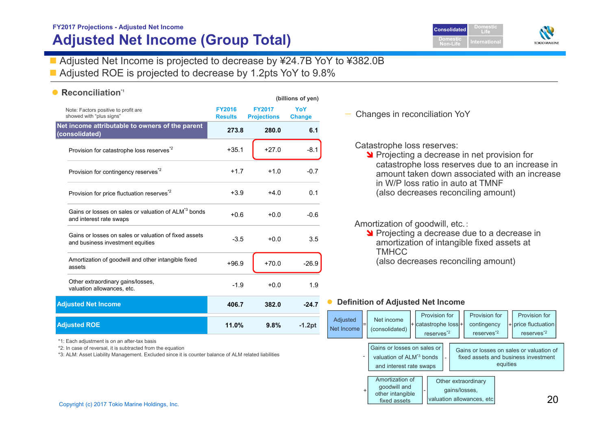## **FY2017 Projections - Adjusted Net Income Adjusted Net Income (Group Total)**



■ Adjusted Net Income is projected to decrease by ¥24.7B YoY to ¥382.0B

**(billions of yen)** 

■ Adjusted ROE is projected to decrease by 1.2pts YoY to 9.8%

## **• Reconciliation\***

| Note: Factors positive to profit are<br>showed with "plus signs"                            | <b>FY2016</b><br><b>Results</b> | <b>FY2017</b><br><b>Projections</b> | YoY<br><b>Change</b> |
|---------------------------------------------------------------------------------------------|---------------------------------|-------------------------------------|----------------------|
| Net income attributable to owners of the parent<br>(consolidated)                           | 273.8                           | 280.0                               | 6.1                  |
| Provision for catastrophe loss reserves <sup>*2</sup>                                       | $+35.1$                         | $+27.0$                             | $-8.1$               |
| Provision for contingency reserves <sup>*2</sup>                                            | $+1.7$                          | $+1.0$                              | $-0.7$               |
| Provision for price fluctuation reserves <sup>2</sup>                                       | $+3.9$                          | $+4.0$                              | 0.1                  |
| Gains or losses on sales or valuation of ALM <sup>*3</sup> bonds<br>and interest rate swaps | $+0.6$                          | $+0.0$                              | $-0.6$               |
| Gains or losses on sales or valuation of fixed assets<br>and business investment equities   | $-3.5$                          | $+0.0$                              | 3.5                  |
| Amortization of goodwill and other intangible fixed<br>assets                               | $+96.9$                         | $+70.0$                             | $-26.9$              |
| Other extraordinary gains/losses,<br>valuation allowances, etc.                             | $-1.9$                          | $+0.0$                              | 1.9                  |
| <b>Adjusted Net Income</b>                                                                  | 406.7                           | 382.0                               | $-24.7$              |
| <b>Adjusted ROE</b>                                                                         | 11.0%                           | 9.8%                                | $-1.2pt$             |

\*1: Each adjustment is on an after-tax basis

\*2: In case of reversal, it is subtracted from the equation

\*3: ALM: Asset Liability Management. Excluded since it is counter balance of ALM related liabilities

#### Changes in reconciliation YoY

#### Catastrophe loss reserves:

**Projecting a decrease in net provision for** catastrophe loss reserves due to an increase in amount taken down associated with an increase in W/P loss ratio in auto at TMNF(also decreases reconciling amount)

#### Amortization of goodwill, etc.:

**Y** Projecting a decrease due to a decrease in amortization of intangible fixed assets at TMHCC(also decreases reconciling amount)

#### **Definition of Adjusted Net Income**

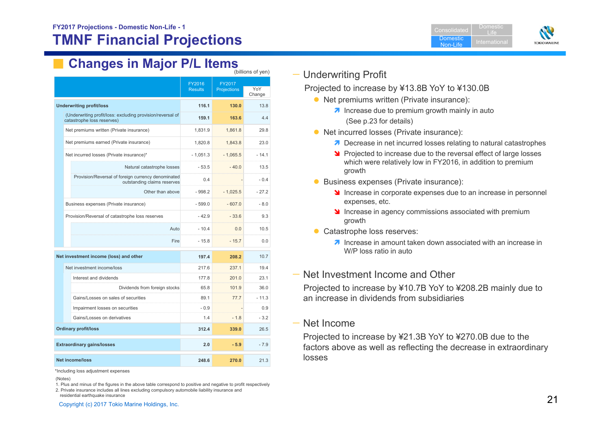DomesticNon-LifeDomestic Life



#### **Changes in Major P/L Items** (billions of yen)

|                                                                                          |                          | ן וויס ניו סוויטווויטן |         |  |
|------------------------------------------------------------------------------------------|--------------------------|------------------------|---------|--|
|                                                                                          | FY2016<br><b>Results</b> | FY2017<br>Projections  | YoY     |  |
|                                                                                          |                          |                        | Change  |  |
| <b>Underwriting profit/loss</b>                                                          | 116.1                    | 130.0                  | 13.8    |  |
| (Underwriting profit/loss: excluding provision/reversal of<br>catastrophe loss reserves) | 159.1                    | 163.6                  | 4.4     |  |
| Net premiums written (Private insurance)                                                 | 1,831.9                  | 1,861.8                | 29.8    |  |
| Net premiums earned (Private insurance)                                                  | 1,820.8                  | 1,843.8                | 23.0    |  |
| Net incurred losses (Private insurance)*                                                 | $-1,051.3$               | $-1,065.5$             | $-14.1$ |  |
| Natural catastrophe losses                                                               | $-53.5$                  | $-40.0$                | 13.5    |  |
| Provision/Reversal of foreign currency denominated<br>outstanding claims reserves        | 0.4                      |                        | $-0.4$  |  |
| Other than above                                                                         | $-998.2$                 | $-1,025.5$             | $-27.2$ |  |
| Business expenses (Private insurance)                                                    | $-599.0$                 | $-607.0$               | $-8.0$  |  |
| Provision/Reversal of catastrophe loss reserves                                          | $-42.9$                  | $-33.6$                | 9.3     |  |
| Auto                                                                                     | $-10.4$                  | 0.0                    | 10.5    |  |
| Fire                                                                                     | $-15.8$                  | $-15.7$                | 0.0     |  |
| Net investment income (loss) and other                                                   | 197.4                    | 208.2                  | 10.7    |  |
| Net investment income/loss                                                               | 217.6                    | 237.1                  | 19.4    |  |
| Interest and dividends                                                                   | 177.8                    | 201.0                  | 23.1    |  |
| Dividends from foreign stocks                                                            | 65.8                     | 101.9                  | 36.0    |  |
| Gains/Losses on sales of securities                                                      | 89.1                     | 77.7                   | $-11.3$ |  |
| Impairment losses on securities                                                          | $-0.9$                   |                        | 0.9     |  |
| Gains/Losses on derivatives                                                              | 1.4                      | $-1.8$                 | $-3.2$  |  |
| <b>Ordinary profit/loss</b>                                                              | 312.4                    | 339.0                  | 26.5    |  |
| <b>Extraordinary gains/losses</b>                                                        | 2.0                      | $-5.9$                 | $-7.9$  |  |
| <b>Net income/loss</b>                                                                   | 248.6                    | 270.0                  | 21.3    |  |

\*Including loss adjustment expenses

1. Plus and minus of the figures in the above table correspond to positive and negative to profit respectively 2. Private insurance includes all lines excluding compulsory automobile liability insurance and residential earthquake insurance

residential earthquake insurance  $21$ 

### — Underwriting Profit

Projected to increase by ¥13.8B YoY to ¥130.0B

- Net premiums written (Private insurance):
	- $\lambda$  Increase due to premium growth mainly in auto (See p.23 for details)
- Net incurred losses (Private insurance):
	- **7** Decrease in net incurred losses relating to natural catastrophes
	- **Projected to increase due to the reversal effect of large losses** which were relatively low in FY2016, in addition to premium growth
- **Business expenses (Private insurance):** 
	- Increase in corporate expenses due to an increase in personnel expenses, etc.
	- If Increase in agency commissions associated with premium growth
- Catastrophe loss reserves:
	- $\lambda$  Increase in amount taken down associated with an increase in W/P loss ratio in auto

### — Net Investment Income and Other

Projected to increase by ¥10.7B YoY to ¥208.2B mainly due to an increase in dividends from subsidiaries

### — Net Income

Projected to increase by ¥21.3B YoY to ¥270.0B due to the factors above as well as reflecting the decrease in extraordinary losses

<sup>(</sup>Notes)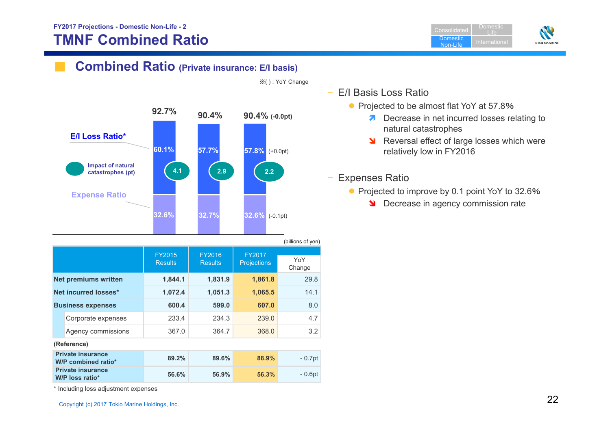**Consolidated** Domestic Non-LifeLife

Domestic



## **Combined Ratio (Private insurance: E/I basis)**



|                          |                                                    |                                 |                                 |                              | \~…~~…~ ~ <sub>`</sub> <i>}</i> ~… |
|--------------------------|----------------------------------------------------|---------------------------------|---------------------------------|------------------------------|------------------------------------|
|                          |                                                    | <b>FY2015</b><br><b>Results</b> | <b>FY2016</b><br><b>Results</b> | FY2017<br><b>Projections</b> | YoY<br>Change                      |
|                          | <b>Net premiums written</b>                        | 1,844.1                         | 1,831.9                         | 1,861.8                      | 29.8                               |
|                          | Net incurred losses*                               | 1,072.4                         | 1,051.3                         | 1,065.5                      | 14.1                               |
| <b>Business expenses</b> |                                                    | 600.4                           | 599.0                           | 607.0                        | 8.0                                |
|                          | Corporate expenses                                 | 233.4                           | 234.3                           | 239.0                        | 4.7                                |
|                          | Agency commissions                                 | 367.0                           | 364.7                           | 368.0                        | 3.2                                |
|                          | (Reference)                                        |                                 |                                 |                              |                                    |
|                          | <b>Private insurance</b><br>W/P combined ratio*    | 89.2%                           | 89.6%                           | 88.9%                        | $-0.7pt$                           |
|                          | <b>Private insurance</b><br><b>W/P loss ratio*</b> | 56.6%                           | 56.9%                           | 56.3%                        | $-0.6pt$                           |

※( ) : YoY Change

- E/I Basis Loss Ratio
	- Projected to be almost flat YoY at 57.8%
		- **7** Decrease in net incurred losses relating to natural catastrophes
		- **N** Reversal effect of large losses which were relatively low in FY2016

### Expenses Ratio

- Projected to improve by 0.1 point YoY to 32.6%
	- **N** Decrease in agency commission rate

\* Including loss adjustment expenses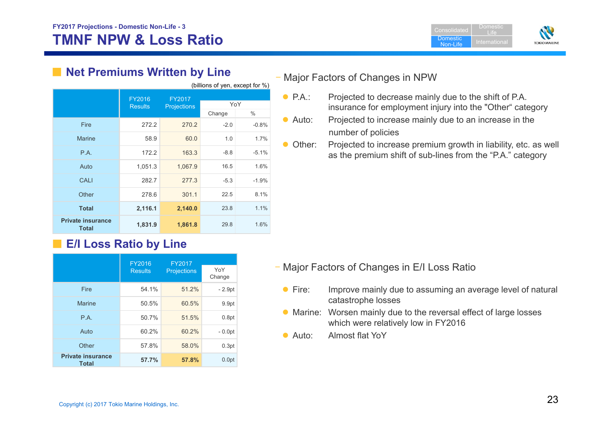

| (billions of yen, except for %)          |                          |                              |        |         |
|------------------------------------------|--------------------------|------------------------------|--------|---------|
|                                          | FY2016<br><b>Results</b> | FY2017<br><b>Projections</b> | YoY    |         |
|                                          |                          |                              | Change | $\%$    |
| Fire                                     | 272.2                    | 270.2                        | $-2.0$ | $-0.8%$ |
| <b>Marine</b>                            | 58.9                     | 60.0                         | 1.0    | 1.7%    |
| P.A.                                     | 172.2                    | 163.3                        | $-8.8$ | $-5.1%$ |
| Auto                                     | 1,051.3                  | 1,067.9                      | 16.5   | 1.6%    |
| CALI                                     | 282.7                    | 277.3                        | $-5.3$ | $-1.9%$ |
| Other                                    | 278.6                    | 301.1                        | 22.5   | 8.1%    |
| <b>Total</b>                             | 2,116.1                  | 2,140.0                      | 23.8   | 1.1%    |
| <b>Private insurance</b><br><b>Total</b> | 1,831.9                  | 1,861.8                      | 29.8   | 1.6%    |

## ■ Net Premiums Written by Line

## ■ **E/I Loss Ratio by Line**

| FY2016                                   |                | FY2017             |               |
|------------------------------------------|----------------|--------------------|---------------|
|                                          | <b>Results</b> | <b>Projections</b> | YoY<br>Change |
| Fire                                     | 54.1%          | 51.2%              | $-2.9pt$      |
| Marine                                   | 50.5%          | 60.5%              | 9.9pt         |
| P.A.                                     | 50.7%          | 51.5%              | 0.8pt         |
| Auto                                     | 60.2%          | 60.2%              | $-0.0pt$      |
| Other                                    | 57.8%          | 58.0%              | 0.3pt         |
| <b>Private insurance</b><br><b>Total</b> | 57.7%          | 57.8%              | 0.0pt         |

## – Major Factors of Changes in NPW

- $\bullet$  P.A.: Projected to decrease mainly due to the shift of P.A. insurance for employment injury into the "Other" category
- $\bullet$  Auto: Projected to increase mainly due to an increase in the number of policies
- Other: Projected to increase premium growth in liability, etc. as well as the premium shift of sub-lines from the "P.A." category

- Major Factors of Changes in E/I Loss Ratio
	- $\bullet$  Fire: Improve mainly due to assuming an average level of natural catastrophe losses
	- Marine: Worsen mainly due to the reversal effect of large losses which were relatively low in FY2016
	- $\bullet$  Auto: Almost flat YoY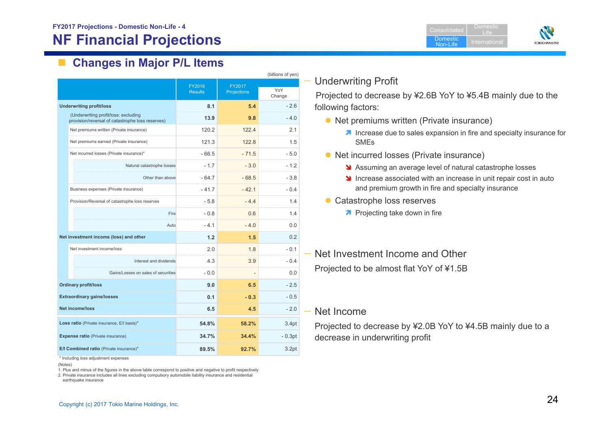**Domestic** Non-LifeDomestic LifeInternational



#### $\overline{\phantom{a}}$ **Changes in Major P/L Items**

|  |                                                                                          |                          |                       | (billions of yen) |
|--|------------------------------------------------------------------------------------------|--------------------------|-----------------------|-------------------|
|  |                                                                                          | FY2016<br><b>Results</b> | FY2017<br>Projections | YoY<br>Change     |
|  | <b>Underwriting profit/loss</b>                                                          | 8.1                      | 5.4                   | $-2.6$            |
|  | (Underwriting profit/loss: excluding<br>provision/reversal of catastrophe loss reserves) | 13.9                     | 9.8                   | $-40$             |
|  | Net premiums written (Private insurance)                                                 | 120.2                    | 1224                  | 2.1               |
|  | Net premiums earned (Private insurance)                                                  | 121.3                    | 122.8                 | 1.5               |
|  | Net incurred losses (Private insurance)*                                                 | $-66.5$                  | $-71.5$               | $-5.0$            |
|  | Natural catastrophe losses                                                               | $-1.7$                   | $-3.0$                | $-1.2$            |
|  | Other than above                                                                         | $-647$                   | $-68.5$               | $-3.8$            |
|  | Business expenses (Private insurance)                                                    | $-41.7$                  | $-421$                | $-0.4$            |
|  | Provision/Reversal of catastrophe loss reserves                                          | $-5.8$                   | $-44$                 | 14                |
|  | Fire                                                                                     | $-0.8$                   | 0.6                   | 14                |
|  | Auto                                                                                     | $-4.1$                   | $-4.0$                | 0.0               |
|  | Net investment income (loss) and other                                                   | 1.2                      | 1.5                   | 0 <sub>2</sub>    |
|  | Net investment income/loss                                                               | 2.0                      | 1.8                   | $-0.1$            |
|  | Interest and dividends                                                                   | 4.3                      | 3.9                   | $-0.4$            |
|  | Gains/Losses on sales of securities                                                      | $-0.0$                   |                       | 0.0               |
|  | <b>Ordinary profit/loss</b>                                                              | 9.0                      | 6.5                   | $-2.5$            |
|  | <b>Extraordinary gains/losses</b>                                                        | 0.1                      | $-0.3$                | $-0.5$            |
|  | <b>Net income/loss</b>                                                                   | 6.5                      | 4.5                   | $-2.0$            |
|  | Loss ratio (Private insurance, E/I basis)*                                               | 54.8%                    | 58.2%                 | 3.4pt             |
|  | <b>Expense ratio (Private insurance)</b>                                                 | 34.7%                    | 34.4%                 | $-0.3pt$          |
|  | E/I Combined ratio (Private insurance)*                                                  | 89.5%                    | 92.7%                 | 3.2pt             |

\* Including loss adjustment expenses

1. Plus and minus of the figures in the above table correspond to positive and negative to profit respectively

2. Private insurance includes all lines excluding compulsory automobile liability insurance and residential earthquake insurance

## — Underwriting Profit

Projected to decrease by ¥2.6B YoY to ¥5.4B mainly due to the following factors:

- Net premiums written (Private insurance)
	- **7** Increase due to sales expansion in fire and specialty insurance for SMEs
- Net incurred losses (Private insurance)
	- **S** Assuming an average level of natural catastrophe losses
	- If Increase associated with an increase in unit repair cost in auto and premium growth in fire and specialty insurance
- Catastrophe loss reserves
	- **A** Projecting take down in fire

— Net Investment Income and Other Projected to be almost flat YoY of ¥1.5B

#### — Net Income

Projected to decrease by ¥2.0B YoY to ¥4.5B mainly due to a decrease in underwriting profit

<sup>(</sup>Notes)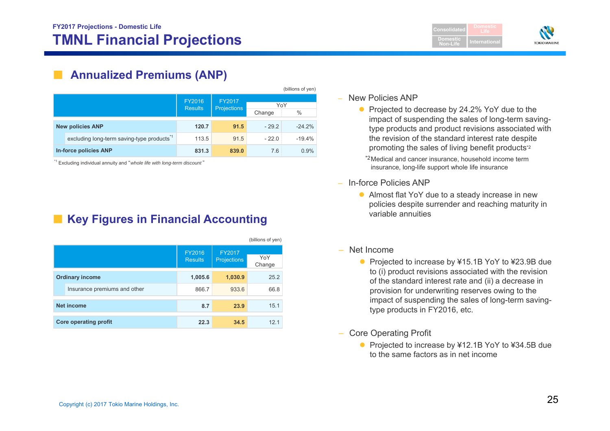**Consolidate LifeDomesticNon-LifeTOKIO MARINE** 

## **Annualized Premiums (ANP)**

|                       |                                                       |                                 |                              |         | (billions of yen) |
|-----------------------|-------------------------------------------------------|---------------------------------|------------------------------|---------|-------------------|
|                       |                                                       | <b>FY2016</b><br><b>Results</b> | FY2017<br><b>Projections</b> |         | YoY               |
|                       |                                                       |                                 |                              | Change  | $\%$              |
|                       | <b>New policies ANP</b>                               | 120.7                           | 91.5                         | $-29.2$ | $-24.2%$          |
|                       | excluding long-term saving-type products <sup>1</sup> | 113.5                           | 91.5                         | $-22.0$ | $-19.4%$          |
| In-force policies ANP |                                                       | 831.3                           | 839.0                        | 7.6     | 0.9%              |

\*1 Excluding individual annuity and "*whole life with long-term discount* "

## **Key Figures in Financial Accounting**

|                        |                              |                                 |                              | (billions of yen) |
|------------------------|------------------------------|---------------------------------|------------------------------|-------------------|
|                        |                              | <b>FY2016</b><br><b>Results</b> | FY2017<br><b>Projections</b> | YoY<br>Change     |
| <b>Ordinary income</b> |                              | 1,005.6                         | 1,030.9                      | 25.2              |
|                        | Insurance premiums and other | 866.7                           | 933.6                        | 66.8              |
|                        | <b>Net income</b>            | 8.7                             | 23.9                         | 15.1              |
|                        | <b>Core operating profit</b> | 22.3                            | 34.5                         | 12.1              |

#### – New Policies ANP

• Projected to decrease by 24.2% YoY due to the impact of suspending the sales of long-term savingtype products and product revisions associated with the revision of the standard interest rate despite promoting the sales of living benefit products\*2

\*2 Medical and cancer insurance, household income term insurance, long-life support whole life insurance

- – In-force Policies ANP
	- Almost flat YoY due to a steady increase in new policies despite surrender and reaching maturity in variable annuities
- Net Income
	- Projected to increase by ¥15.1B YoY to ¥23.9B due to (i) product revisions associated with the revision of the standard interest rate and (ii) a decrease in provision for underwriting reserves owing to the impact of suspending the sales of long-term savingtype products in FY2016, etc.
- Core Operating Profit
	- Projected to increase by ¥12.1B YoY to ¥34.5B due to the same factors as in net income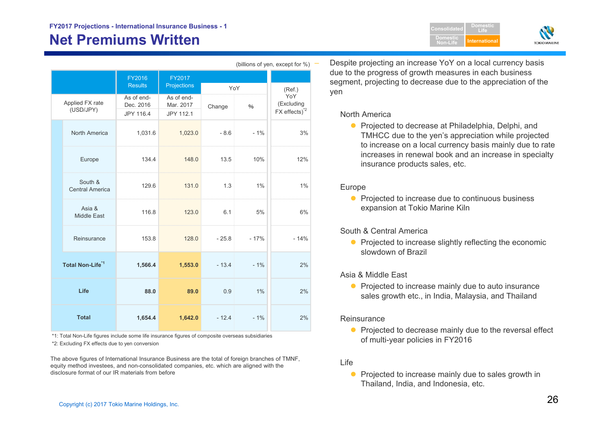# **Net Premiums Written**

|                              |                                   |                                      |                                      |         |        | (billions of yen, except for %)                |
|------------------------------|-----------------------------------|--------------------------------------|--------------------------------------|---------|--------|------------------------------------------------|
|                              |                                   | FY2016<br><b>Results</b>             | FY2017<br>Projections                | YoY     |        | (Ref.)                                         |
|                              | Applied FX rate<br>(USD/JPY)      | As of end-<br>Dec. 2016<br>JPY 116.4 | As of end-<br>Mar. 2017<br>JPY 112.1 | Change  | %      | YoY<br>(Excluding<br>FX effects) <sup>*2</sup> |
|                              | North America                     | 1,031.6                              | 1,023.0                              | $-8.6$  | $-1%$  | 3%                                             |
|                              | Europe                            | 134.4                                | 148.0                                | 13.5    | 10%    | 12%                                            |
|                              | South &<br><b>Central America</b> | 129.6                                | 131.0                                | 1.3     | 1%     | 1%                                             |
|                              | Asia &<br>Middle East             | 116.8                                | 123.0                                | 6.1     | 5%     | 6%                                             |
|                              | Reinsurance                       | 153.8                                | 128.0                                | $-25.8$ | $-17%$ | $-14%$                                         |
| Total Non-Life <sup>*1</sup> |                                   | 1,566.4                              | 1,553.0                              | $-13.4$ | $-1%$  | 2%                                             |
| Life                         |                                   | 88.0                                 | 89.0                                 | 0.9     | 1%     | 2%                                             |
| <b>Total</b>                 |                                   | 1,654.4                              | 1,642.0                              | $-12.4$ | $-1%$  | 2%                                             |

\*1: Total Non-Life figures include some life insurance figures of composite overseas subsidiaries \*2: Excluding FX effects due to yen conversion

The above figures of International Insurance Business are the total of foreign branches of TMNF, equity method investees, and non-consolidated companies, etc. which are aligned with the disclosure format of our IR materials from before

 Despite projecting an increase YoY on a local currency basis due to the progress of growth measures in each business segment, projecting to decrease due to the appreciation of the yen

**Domestic Non-Life**

**DomesticLifeInternational**

**TOKIO MARINE** 

#### North America

● Projected to decrease at Philadelphia, Delphi, and TMHCC due to the yen's appreciation while projected to increase on a local currency basis mainly due to rate increases in renewal book and an increase in specialty insurance products sales, etc.

#### Europe

• Projected to increase due to continuous business expansion at Tokio Marine Kiln

#### South & Central America

• Projected to increase slightly reflecting the economic slowdown of Brazil

#### Asia & Middle East

• Projected to increase mainly due to auto insurance sales growth etc., in India, Malaysia, and Thailand

#### **Reinsurance**

• Projected to decrease mainly due to the reversal effect of multi-year policies in FY2016

#### Life

• Projected to increase mainly due to sales growth in Thailand, India, and Indonesia, etc.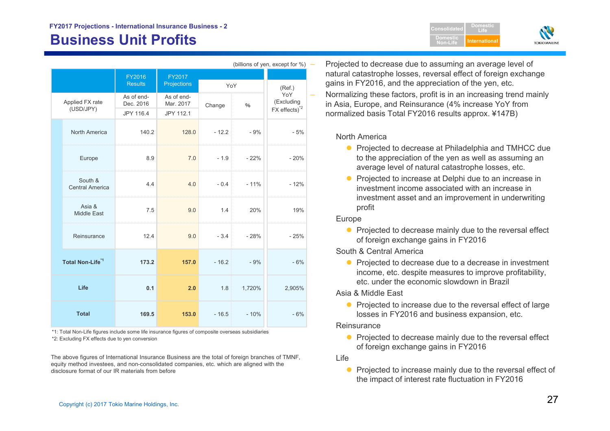# **Business Unit Profits International Security Computer Security Computer International**

|                              | (billions of yen, except for %) |                                      |                                      |         |        |                                                              |
|------------------------------|---------------------------------|--------------------------------------|--------------------------------------|---------|--------|--------------------------------------------------------------|
|                              |                                 | <b>FY2016</b><br><b>Results</b>      | <b>FY2017</b><br>Projections         | YoY     |        | (Ref.)                                                       |
|                              | Applied FX rate<br>(USD/JPY)    | As of end-<br>Dec. 2016<br>JPY 116.4 | As of end-<br>Mar. 2017<br>JPY 112.1 | Change  | $\%$   | YoY<br>(Excluding<br>$FX$ effects) <sup><math>2</math></sup> |
|                              | North America                   | 140.2                                | 128.0                                | $-12.2$ | $-9%$  | $-5%$                                                        |
|                              | Europe                          | 8.9                                  | 7.0                                  | $-1.9$  | $-22%$ | $-20%$                                                       |
|                              | South &<br>Central America      | 4.4                                  | 4.0                                  | $-0.4$  | $-11%$ | $-12%$                                                       |
|                              | Asia &<br><b>Middle East</b>    | 7.5                                  | 9.0                                  | 1.4     | 20%    | 19%                                                          |
|                              | Reinsurance                     | 12.4                                 | 9.0                                  | $-3.4$  | $-28%$ | $-25%$                                                       |
| Total Non-Life <sup>*1</sup> |                                 | 173.2                                | 157.0                                | $-16.2$ | $-9%$  | $-6%$                                                        |
| Life                         |                                 | 0.1                                  | 2.0                                  | 1.8     | 1,720% | 2,905%                                                       |
| <b>Total</b>                 |                                 | 169.5                                | 153.0                                | $-16.5$ | $-10%$ | $-6%$                                                        |

\*2: Excluding FX effects due to yen conversion \*1: Total Non-Life figures include some life insurance figures of composite overseas subsidiaries

The above figures of International Insurance Business are the total of foreign branches of TMNF, equity method investees, and non-consolidated companies, etc. which are aligned with the disclosure format of our IR materials from before

 Projected to decrease due to assuming an average level of natural catastrophe losses, reversal effect of foreign exchange gains in FY2016, and the appreciation of the yen, etc.

**ConsolidatedDomestic Non-Life**

**DomesticLife**

 Normalizing these factors, profit is in an increasing trend mainly in Asia, Europe, and Reinsurance (4% increase YoY from normalized basis Total FY2016 results approx. ¥147B)

North America

- Projected to decrease at Philadelphia and TMHCC due to the appreciation of the yen as well as assuming an average level of natural catastrophe losses, etc.
- $\bullet$  Projected to increase at Delphi due to an increase in investment income associated with an increase in investment asset and an improvement in underwriting profit

Europe

• Projected to decrease mainly due to the reversal effect of foreign exchange gains in FY2016

South & Central America

• Projected to decrease due to a decrease in investment income, etc. despite measures to improve profitability, etc. under the economic slowdown in Brazil

Asia & Middle East

• Projected to increase due to the reversal effect of large losses in FY2016 and business expansion, etc.

**Reinsurance** 

• Projected to decrease mainly due to the reversal effect of foreign exchange gains in FY2016

Life

 $\bullet$  Projected to increase mainly due to the reversal effect of the impact of interest rate fluctuation in FY2016

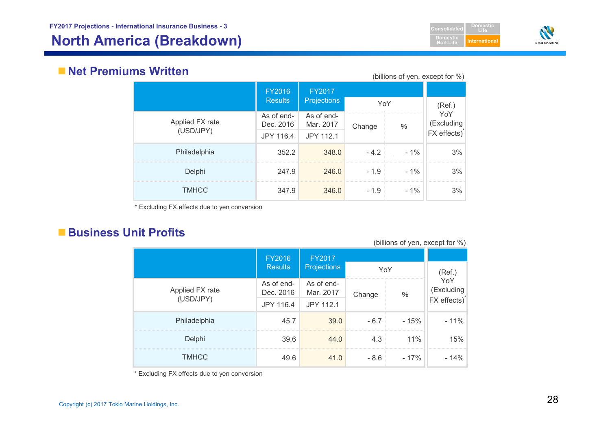# **North America (Breakdown) International**



## **Net Premiums Written**

| IIV VVIILLVII<br>(billions of yen, except for %) |                         |                         |        |        |                   |  |  |  |  |
|--------------------------------------------------|-------------------------|-------------------------|--------|--------|-------------------|--|--|--|--|
|                                                  | FY2016                  | FY2017                  |        |        |                   |  |  |  |  |
|                                                  | <b>Results</b>          | <b>Projections</b>      | YoY    |        | (Ref.)            |  |  |  |  |
| Applied FX rate                                  | As of end-<br>Dec. 2016 | As of end-<br>Mar. 2017 | Change | %      | YoY<br>(Excluding |  |  |  |  |
| (USD/JPY)                                        | JPY 116.4               | JPY 112.1               |        |        | FX effects)       |  |  |  |  |
| Philadelphia                                     | 352.2                   | 348.0                   | $-4.2$ | $-1\%$ | 3%                |  |  |  |  |
| Delphi                                           | 247.9                   | 246.0                   | $-1.9$ | $-1\%$ | 3%                |  |  |  |  |
| <b>TMHCC</b>                                     | 347.9                   | 346.0                   | $-1.9$ | $-1\%$ | 3%                |  |  |  |  |

\* Excluding FX effects due to yen conversion

## ■ Business Unit Profits

| (DIIIIUITO UI VEIT, EVOEDI IUI 70) |                         |                         |        |       |                          |  |  |  |  |
|------------------------------------|-------------------------|-------------------------|--------|-------|--------------------------|--|--|--|--|
|                                    | <b>FY2016</b>           | FY2017                  |        |       |                          |  |  |  |  |
|                                    | <b>Results</b>          | <b>Projections</b>      | YoY    |       | (Ref.)                   |  |  |  |  |
| Applied FX rate                    | As of end-<br>Dec. 2016 | As of end-<br>Mar. 2017 | Change | $\%$  | YoY<br>(Excluding        |  |  |  |  |
| (USD/JPY)                          | JPY 116.4               | JPY 112.1               |        |       | FX effects) <sup>*</sup> |  |  |  |  |
| Philadelphia                       | 45.7                    | 39.0                    | $-6.7$ | - 15% | $-11%$                   |  |  |  |  |
| Delphi                             | 39.6                    | 44.0                    | 4.3    | 11%   | 15%                      |  |  |  |  |
| <b>TMHCC</b>                       | 49.6                    | 41.0                    | $-8.6$ | - 17% | $-14%$                   |  |  |  |  |

(billions of yen, except for  $\frac{0}{0}$ )

\* Excluding FX effects due to yen conversion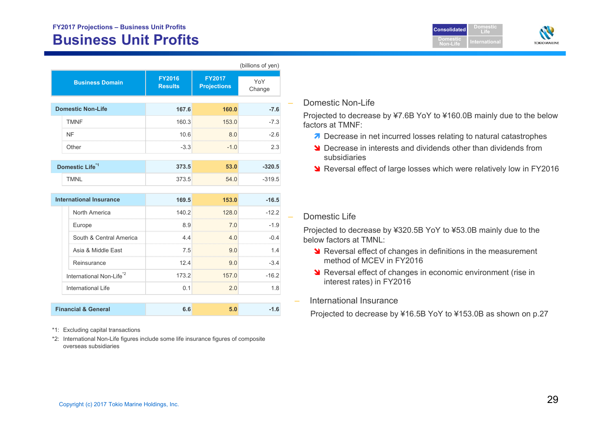## **FY2017 Projections – Business Unit Profits Business Unit Profits**

|                                      |                    |                                 |                                     | (billions of yen) |
|--------------------------------------|--------------------|---------------------------------|-------------------------------------|-------------------|
| <b>Business Domain</b>               |                    | <b>FY2016</b><br><b>Results</b> | <b>FY2017</b><br><b>Projections</b> | YoY<br>Change     |
| <b>Domestic Non-Life</b>             |                    | 167.6                           | 160.0                               | $-7.6$            |
| <b>TMNF</b>                          |                    | 160.3                           | 153.0                               | $-7.3$            |
| <b>NF</b>                            |                    | 10.6                            | 8.0                                 | $-2.6$            |
| Other                                |                    | $-3.3$                          | $-1.0$                              | 2.3               |
| Domestic Life <sup>*1</sup>          |                    | 373.5                           | 53.0                                | $-320.5$          |
| <b>TMNL</b>                          |                    | 373.5                           | 54.0                                | $-319.5$          |
| <b>International Insurance</b>       |                    | 169.5<br>153.0                  |                                     | $-16.5$           |
| North America                        |                    | 140.2                           | 128.0                               | $-12.2$           |
| Europe                               |                    | 8.9                             | 7.0                                 | $-1.9$            |
| South & Central America              |                    | 4.4                             | 4.0                                 | $-0.4$            |
| Asia & Middle East                   |                    | 7.5                             | 9 O                                 | 14                |
| Reinsurance                          |                    | 12.4                            | 9.0                                 | $-3.4$            |
| International Non-Life <sup>*2</sup> |                    | 173.2                           | 157.0                               | $-16.2$           |
|                                      | International Life |                                 | 2.0                                 | 1.8               |
| <b>Financial &amp; General</b>       |                    | 6.6                             | 5.0                                 | $-1.6$            |

\*1: Excluding capital transactions

\*2: International Non-Life figures include some life insurance figures of composite overseas subsidiaries

#### Domestic Non-Life

Projected to decrease by ¥7.6B YoY to ¥160.0B mainly due to the below factors at TMNF:

**ConsolidatedDomesticNon-Life**

**DomesticLife**

**TOKIO MARINE** 

- **7** Decrease in net incurred losses relating to natural catastrophes
- **S** Decrease in interests and dividends other than dividends from subsidiaries
- **N** Reversal effect of large losses which were relatively low in FY2016

#### Domestic Life

Projected to decrease by ¥320.5B YoY to ¥53.0B mainly due to the below factors at TMNL:

- **N** Reversal effect of changes in definitions in the measurement method of MCEV in FY2016
- **N** Reversal effect of changes in economic environment (rise in interest rates) in FY2016
- International Insurance

Projected to decrease by ¥16.5B YoY to ¥153.0B as shown on p.27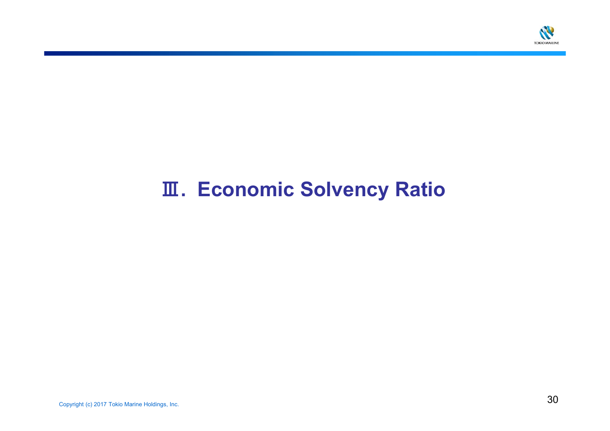

# Ⅲ**. Economic Solvency Ratio**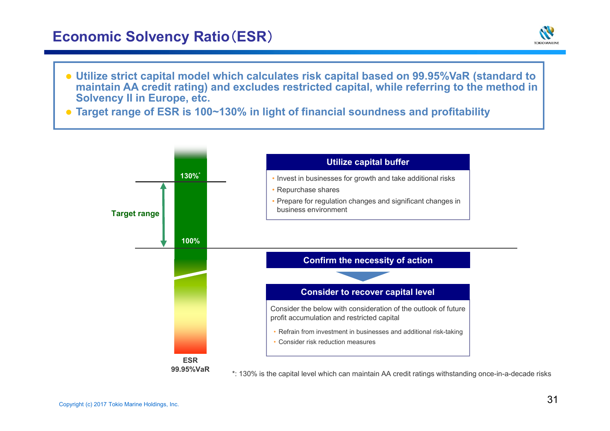## **Economic Solvency Ratio**(**ESR**)



- **Utilize strict capital model which calculates risk capital based on 99.95%VaR (standard to maintain AA credit rating) and excludes restricted capital, while referring to the method in Solvency II in Europe, etc.**
- **Target range of ESR is 100~130% in light of financial soundness and profitability**

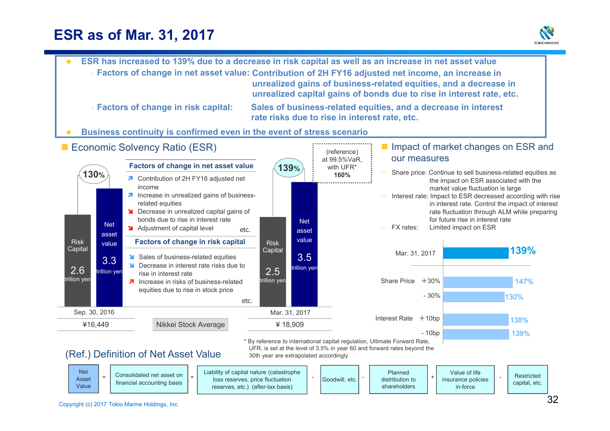# **ESR as of Mar. 31, 2017**





reserves, etc.) (after-tax basis)

Value

in-force

shareholders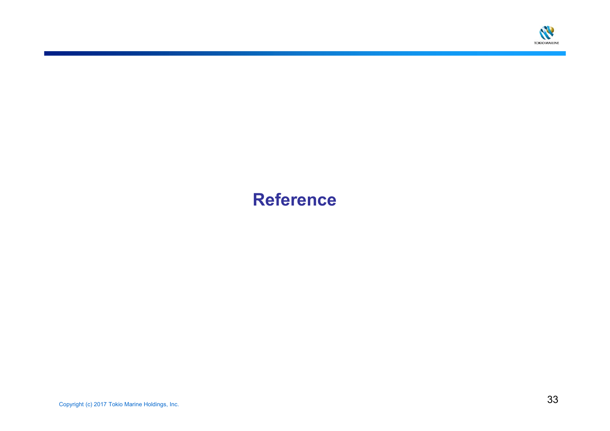

# **Reference**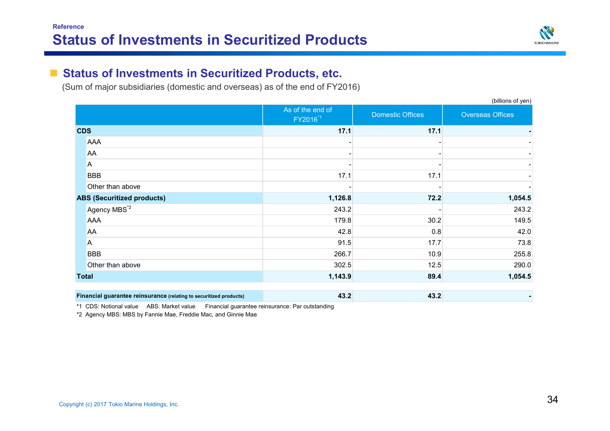

#### $\mathcal{L}_{\mathcal{A}}$ **Status of Investments in Securitized Products, etc.**

(Sum of major subsidiaries (domestic and overseas) as of the end of FY2016)

|              |                                                                    | As of the end of<br>FY2016 <sup>*1</sup> | <b>Domestic Offices</b> | $\mathbf{v}$<br>Overseas Offices |
|--------------|--------------------------------------------------------------------|------------------------------------------|-------------------------|----------------------------------|
| <b>CDS</b>   |                                                                    | 17.1                                     | 17.1                    |                                  |
|              | AAA                                                                |                                          |                         |                                  |
|              | AA                                                                 |                                          |                         |                                  |
|              | A                                                                  |                                          |                         |                                  |
|              | <b>BBB</b>                                                         | 17.1                                     | 17.1                    |                                  |
|              | Other than above                                                   |                                          |                         |                                  |
|              | <b>ABS (Securitized products)</b>                                  | 1,126.8                                  | 72.2                    | 1,054.5                          |
|              | Agency MBS <sup>*2</sup>                                           | 243.2                                    |                         | 243.2                            |
|              | AAA                                                                | 179.8                                    | 30.2                    | 149.5                            |
|              | AA                                                                 | 42.8                                     | 0.8                     | 42.0                             |
|              | A                                                                  | 91.5                                     | 17.7                    | 73.8                             |
|              | <b>BBB</b>                                                         | 266.7                                    | 10.9                    | 255.8                            |
|              | Other than above                                                   | 302.5                                    | 12.5                    | 290.0                            |
| <b>Total</b> |                                                                    | 1,143.9                                  | 89.4                    | 1,054.5                          |
|              | Financial guarantee reinsurance (relating to securitized products) | 43.2                                     | 43.2                    |                                  |

\*1 CDS: Notional value ABS: Market value Financial guarantee reinsurance: Par outstanding

\*2 Agency MBS: MBS by Fannie Mae, Freddie Mac, and Ginnie Mae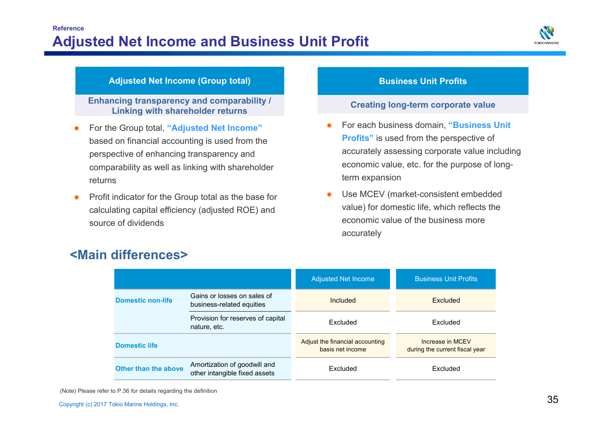

#### **Adjusted Net Income (Group total) Business Unit Profits**

**Enhancing transparency and comparability / Linking with shareholder returns**

- 0 For the Group total, **"Adjusted Net Income"**  based on financial accounting is used from the perspective of enhancing transparency and comparability as well as linking with shareholder returns
- 0 Profit indicator for the Group total as the base for calculating capital efficiency (adjusted ROE) and source of dividends

#### **Creating long-term corporate value**

- O For each business domain, **"Business Unit Profits"** is used from the perspective of accurately assessing corporate value including economic value, etc. for the purpose of longterm expansion
- Ô Use MCEV (market-consistent embedded value) for domestic life, which reflects the economic value of the business more accurately

|                          |                                                               | <b>Adjusted Net Income</b>                          | <b>Business Unit Profits</b>                       |  |
|--------------------------|---------------------------------------------------------------|-----------------------------------------------------|----------------------------------------------------|--|
| <b>Domestic non-life</b> | Gains or losses on sales of<br>business-related equities      | Included                                            | Excluded                                           |  |
|                          | Provision for reserves of capital<br>nature, etc.             | Excluded                                            | Excluded                                           |  |
| <b>Domestic life</b>     |                                                               | Adjust the financial accounting<br>basis net income | Increase in MCFV<br>during the current fiscal year |  |
| Other than the above     | Amortization of goodwill and<br>other intangible fixed assets | Excluded                                            | Excluded                                           |  |

## **<Main differences>**

(Note) Please refer to P.36 for details regarding the definition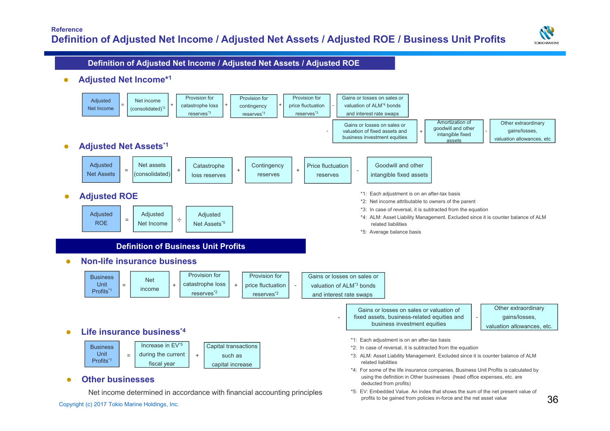

#### **Definition of Adjusted Net Income / Adjusted Net Assets / Adjusted ROE**

 $\bullet$ **Adjusted Net Income\*1**

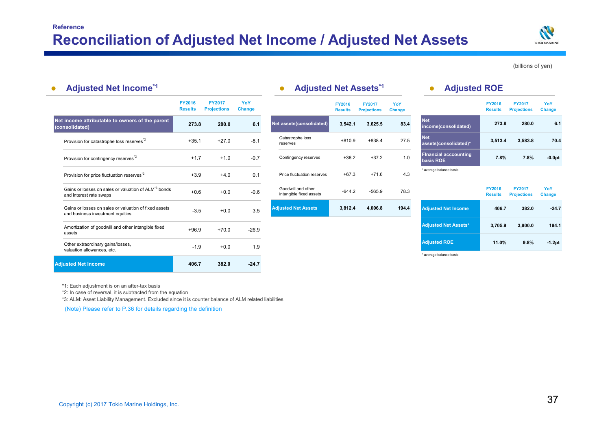| <b>Adjusted Net Income*1</b><br>$\bullet$                                                  |                                 |                                     |                      | <b>Adjusted Net Assets*1</b>                  |                                 |                                     |               | <b>Adjusted ROE</b>                       |                                 |                                     |                      |
|--------------------------------------------------------------------------------------------|---------------------------------|-------------------------------------|----------------------|-----------------------------------------------|---------------------------------|-------------------------------------|---------------|-------------------------------------------|---------------------------------|-------------------------------------|----------------------|
|                                                                                            | <b>FY2016</b><br><b>Results</b> | <b>FY2017</b><br><b>Projections</b> | YoY<br><b>Change</b> |                                               | <b>FY2016</b><br><b>Results</b> | <b>FY2017</b><br><b>Projections</b> | YoY<br>Change |                                           | <b>FY2016</b><br><b>Results</b> | <b>FY2017</b><br><b>Projections</b> | YoY<br><b>Change</b> |
| Net income attributable to owners of the parent<br>(consolidated)                          | 273.8                           | 280.0                               | 6.1                  | Net assets(consolidated)                      | 3,542.1                         | 3,625.5                             | 83.4          | <b>Net</b><br>income(consolidated)        | 273.8                           | 280.0                               | 6.1                  |
| Provision for catastrophe loss reserves <sup>2</sup>                                       | $+35.1$                         | $+27.0$                             | $-8.1$               | Catastrophe loss<br>reserves                  | $+810.9$                        | $+838.4$                            | 27.5          | <b>Net</b><br>assets(consolidated)*       | 3,513.4                         | 3,583.8                             | 70.4                 |
| Provision for contingency reserves <sup>*2</sup>                                           | $+1.7$                          | $+1.0$                              | $-0.7$               | Contingency reserves                          | $+36.2$                         | $+37.2$                             | 1.0           | <b>Financial acccounting</b><br>basis ROE | 7.8%                            | 7.8%                                | $-0.0pt$             |
| Provision for price fluctuation reserves <sup>"2</sup>                                     | $+3.9$                          | $+4.0$                              | 0.1                  | Price fluctuation reserves                    | $+67.3$                         | $+71.6$                             | 4.3           | * average balance basis                   |                                 |                                     |                      |
| Gains or losses on sales or valuation of ALM <sup>3</sup> bonds<br>and interest rate swaps | $+0.6$                          | $+0.0$                              | $-0.6$               | Goodwill and other<br>intangible fixed assets | $-644.2$                        | $-565.9$                            | 78.3          |                                           | <b>FY2016</b><br><b>Results</b> | <b>FY2017</b><br><b>Projections</b> | YoY<br>Change        |
| Gains or losses on sales or valuation of fixed assets<br>and business investment equities  | $-3.5$                          | $+0.0$                              | 3.5                  | <b>Adjusted Net Assets</b>                    | 3,812.4                         | 4,006.8                             | 194.4         | <b>Adjusted Net Income</b>                | 406.7                           | 382.0                               | $-24.7$              |
| Amortization of goodwill and other intangible fixed<br>assets                              | $+96.9$                         | $+70.0$                             | $-26.9$              |                                               |                                 |                                     |               | <b>Adjusted Net Assets*</b>               | 3,705.9                         | 3,900.0                             | 194.1                |
| Other extraordinary gains/losses,<br>valuation allowances, etc.                            | $-1.9$                          | $+0.0$                              | 1.9                  |                                               |                                 |                                     |               | <b>Adjusted ROE</b>                       | 11.0%                           | 9.8%                                | $-1.2pt$             |
| <b>Adiusted Net Income</b>                                                                 | 406.7                           | 382.0                               | $-24.7$              |                                               |                                 |                                     |               | * average balance basis                   |                                 |                                     |                      |

\*1: Each adjustment is on an after-tax basis

\*2: In case of reversal, it is subtracted from the equation

\*3: ALM: Asset Liability Management. Excluded since it is counter balance of ALM related liabilities

(Note) Please refer to P.36 for details regarding the definition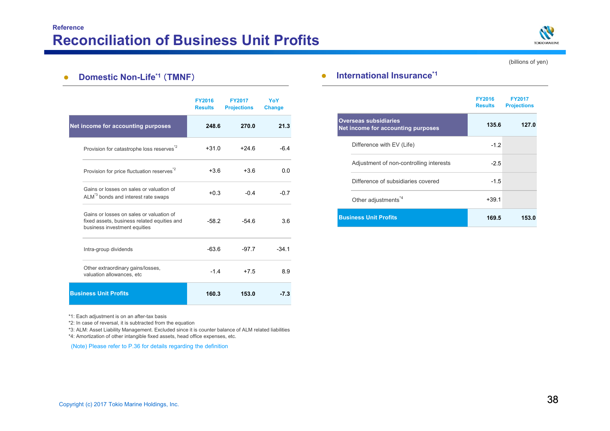

#### $\bullet$ **Domestic Non-Life\*1** (**TMNF**)

|                                                                                                                         | <b>FY2016</b><br><b>Results</b> | <b>FY2017</b><br><b>Projections</b> | YoY<br><b>Change</b> |
|-------------------------------------------------------------------------------------------------------------------------|---------------------------------|-------------------------------------|----------------------|
| Net income for accounting purposes                                                                                      | 248.6                           | 270.0                               | 21.3                 |
| Provision for catastrophe loss reserves <sup>*2</sup>                                                                   | $+31.0$                         | $+24.6$                             | $-6.4$               |
| Provision for price fluctuation reserves <sup>*2</sup>                                                                  | $+3.6$                          | $+3.6$                              | 0.0                  |
| Gains or losses on sales or valuation of<br>ALM <sup>3</sup> bonds and interest rate swaps                              | $+0.3$                          | $-0.4$                              | $-07$                |
| Gains or losses on sales or valuation of<br>fixed assets, business related equities and<br>business investment equities | $-582$                          | $-546$                              | 3.6                  |
| Intra-group dividends                                                                                                   | $-63.6$                         | $-97.7$                             | $-341$               |
| Other extraordinary gains/losses,<br>valuation allowances, etc                                                          | $-14$                           | $+7.5$                              | 8.9                  |
| <b>Business Unit Profits</b>                                                                                            | 160.3                           | 153.0                               | $-7.3$               |

\*1: Each adjustment is on an after-tax basis

\*2: In case of reversal, it is subtracted from the equation

\*3: ALM: Asset Liability Management. Excluded since it is counter balance of ALM related liabilities

\*4: Amortization of other intangible fixed assets, head office expenses, etc.

(Note) Please refer to P.36 for details regarding the definition

#### $\bullet$ **International Insurance\*1**

|                                                                    | <b>FY2016</b><br><b>Results</b> | <b>FY2017</b><br><b>Projections</b> |
|--------------------------------------------------------------------|---------------------------------|-------------------------------------|
| <b>Overseas subsidiaries</b><br>Net income for accounting purposes | 135.6                           | 127.0                               |
| Difference with EV (Life)                                          | $-1.2$                          |                                     |
| Adjustment of non-controlling interests                            | $-2.5$                          |                                     |
| Difference of subsidiaries covered                                 | $-1.5$                          |                                     |
| Other adjustments <sup>*4</sup>                                    | $+39.1$                         |                                     |
| <b>Business Unit Profits</b>                                       | 169.5                           | 153.0                               |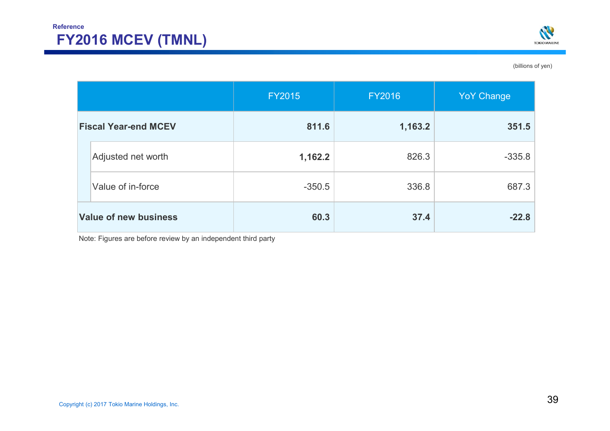

|                              |                    | <b>FY2015</b> | <b>FY2016</b> | <b>YoY Change</b> |
|------------------------------|--------------------|---------------|---------------|-------------------|
| <b>Fiscal Year-end MCEV</b>  |                    | 811.6         | 1,163.2       | 351.5             |
|                              | Adjusted net worth | 1,162.2       | 826.3         | $-335.8$          |
|                              | Value of in-force  | $-350.5$      | 336.8         | 687.3             |
| <b>Value of new business</b> |                    | 60.3          | 37.4          | $-22.8$           |

Note: Figures are before review by an independent third party